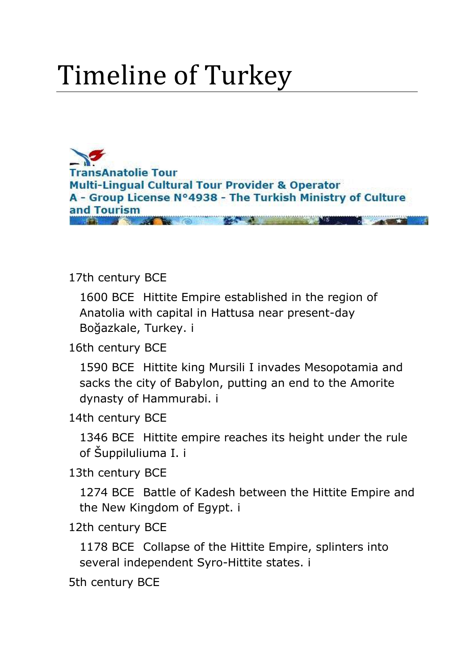# Timeline of Turkey

**TransAnatolie Tour Multi-Lingual Cultural Tour Provider & Operator** A - Group License N°4938 - The Turkish Ministry of Culture and Tourism

#### <span id="page-0-0"></span>[17th century BCE](#page-21-0)

1600 BCE [Hittite Empire established in the region of](#page-21-1)  [Anatolia with capital in Hattusa near present-day](#page-21-1)  [Boğazkale, Turkey. i](#page-21-1)

[16th century BCE](#page-21-2)

1590 BCE [Hittite king Mursili I invades Mesopotamia and](#page-21-3)  [sacks the city of Babylon, putting an end to the Amorite](#page-21-3)  [dynasty of Hammurabi. i](#page-21-3)

[14th century BCE](#page-21-4)

1346 BCE [Hittite empire reaches its height under the rule](#page-21-5)  [of Šuppiluliuma I. i](#page-21-5)

[13th century BCE](#page-21-6)

1274 BCE [Battle of Kadesh between the Hittite Empire and](#page-22-0)  [the New Kingdom of Egypt. i](#page-22-0)

[12th century BCE](#page-22-1)

1178 BCE [Collapse of the Hittite Empire, splinters into](#page-22-2)  [several independent Syro-Hittite states. i](#page-22-2)

[5th century BCE](#page-22-3)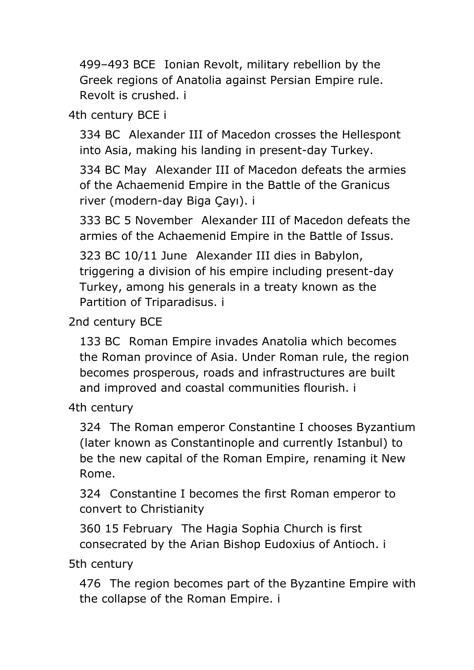499–493 BCE [Ionian Revolt, military rebellion by the](#page-22-4)  [Greek regions of Anatolia against Persian Empire rule.](#page-22-4)  [Revolt is crushed. i](#page-22-4)

[4th century BCE i](#page-22-5)

334 BC [Alexander III of Macedon crosses the Hellespont](#page-22-6)  [into Asia, making his landing in present-day Turkey.](#page-22-6)

334 BC May [Alexander III of Macedon defeats the armies](#page-22-7)  [of the Achaemenid Empire in the Battle of the Granicus](#page-22-7)  river (modern-[day Biga Çayı\). i](#page-22-7)

333 BC 5 November [Alexander III of Macedon defeats the](#page-23-0)  [armies of the Achaemenid Empire in the Battle of Issus.](#page-23-0)

323 BC 10/11 June [Alexander III dies in Babylon,](#page-23-1)  [triggering a division of his empire including present-day](#page-23-1)  [Turkey, among his generals in a treaty known as the](#page-23-1)  [Partition of Triparadisus. i](#page-23-1)

[2nd century BCE](#page-23-2)

133 BC [Roman Empire invades Anatolia which becomes](#page-23-3)  [the Roman province of Asia. Under Roman rule, the region](#page-23-3)  [becomes prosperous, roads and infrastructures are built](#page-23-3)  [and improved and coastal communities flourish. i](#page-23-3)

[4th century](#page-23-4)

324 [The Roman emperor Constantine I chooses Byzantium](#page-23-5)  [\(later known as Constantinople and currently Istanbul\) to](#page-23-5)  [be the new capital of the Roman Empire, renaming it New](#page-23-5)  [Rome.](#page-23-5)

324 [Constantine I becomes the first Roman emperor to](#page-24-0)  [convert to Christianity](#page-24-0)

360 15 February [The Hagia Sophia Church is first](#page-24-1)  [consecrated by the Arian Bishop Eudoxius of Antioch. i](#page-24-1)

[5th century](#page-24-2)

476 [The region becomes part of the Byzantine Empire with](#page-24-3)  [the collapse of the Roman Empire. i](#page-24-3)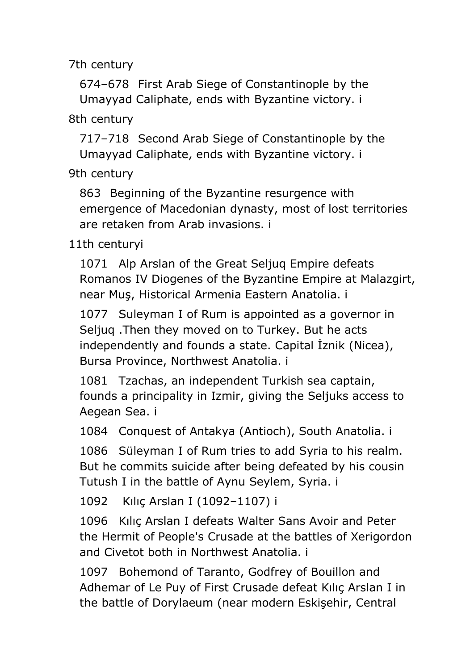674–678 [First Arab Siege of Constantinople by the](#page-24-5)  [Umayyad Caliphate, ends with Byzantine victory. i](#page-24-5)

[8th century](#page-24-6)

717–718 [Second Arab Siege of Constantinople by the](#page-24-7)  [Umayyad Caliphate, ends with Byzantine victory. i](#page-24-7)

[9th century](#page-24-8)

863 [Beginning of the Byzantine resurgence with](#page-25-0)  [emergence of Macedonian dynasty, most of lost territories](#page-25-0)  [are retaken from Arab invasions. i](#page-25-0)

[11th centuryi](#page-25-1)

1071 [Alp Arslan of the Great Seljuq Empire defeats](#page-25-2)  [Romanos IV Diogenes of the Byzantine Empire at Malazgirt,](#page-25-2)  [near Muş, Historical Armenia Eastern Anatolia. i](#page-25-2)

1077 [Suleyman I of Rum is appointed as a governor in](#page-25-3)  [Seljuq .Then they moved on to Turkey. But he acts](#page-25-3)  [independently and founds a state. Capital İznik \(Nicea\),](#page-25-3)  [Bursa Province, Northwest Anatolia. i](#page-25-3)

1081 [Tzachas, an independent Turkish sea captain,](#page-25-4)  [founds a principality in Izmir, giving the Seljuks access to](#page-25-4)  [Aegean Sea. i](#page-25-4)

1084 [Conquest of Antakya \(Antioch\), South Anatolia. i](#page-25-5)

1086 [Süleyman I of Rum tries to add Syria to his realm.](#page-25-6)  [But he commits suicide after being defeated by his cousin](#page-25-6)  [Tutush I in the battle of Aynu Seylem, Syria. i](#page-25-6)

1092 [Kılıç Arslan I \(1092–](#page-25-7)1107) i

1096 [Kılıç Arslan I defeats Walter Sans Avoir and Peter](#page-25-8)  [the Hermit of People's Crusade at the battles of Xerigordon](#page-25-8)  [and Civetot both in Northwest Anatolia. i](#page-25-8)

1097 [Bohemond of Taranto, Godfrey of Bouillon and](#page-26-0)  [Adhemar of Le Puy of First Crusade defeat Kılıç Arslan I in](#page-26-0)  [the battle of Dorylaeum \(near modern Eskişehir, Ce](#page-26-0)ntral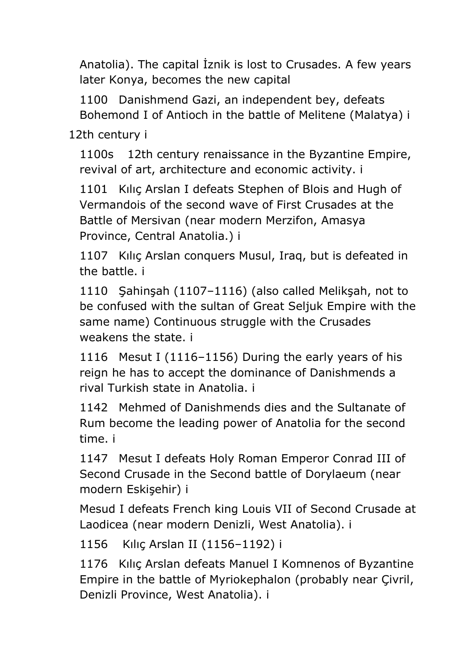Anatolia). The capital İznik is lost to Crusades. A few years later Konya, becomes the new capital

1100 [Danishmend Gazi, an independent bey, defeats](#page-26-1) [Bohemond I of Antioch in the battle of Melitene \(Malatya\) i](#page-26-1)

[12th century i](#page-26-2)

1100s [12th century renaissance in the Byzantine Empire,](#page-26-3)  [revival of art, architecture and economic activity. i](#page-26-3)

1101 [Kılıç Arslan I defeats Stephen of](#page-26-4) Blois and Hugh of [Vermandois of the second wave of First Crusades at the](#page-26-4)  [Battle of Mersivan \(near modern Merzifon, Amasya](#page-26-4)  [Province, Central Anatolia.\) i](#page-26-4)

1107 [Kılıç Arslan conquers Musul, Iraq, but is defeated in](#page-26-5)  [the battle. i](#page-26-5)

1110 [Şahinşah \(1107–1116\) \(also called Melikşah, not to](#page-26-6)  [be confused with the sultan of Great Seljuk Empire with the](#page-26-6)  [same name\) Continuous struggle with the Crusades](#page-26-6)  [weakens the state. i](#page-26-6)

1116 Mesut I (1116–[1156\) During the early years of his](#page-26-7)  [reign he has to accept the dominance of Danishmends a](#page-26-7)  [rival Turkish state in Anatolia. i](#page-26-7)

1142 [Mehmed of Danishmends dies and the Sultanate of](#page-27-0)  [Rum become the leading power of Anatolia for the second](#page-27-0)  [time. i](#page-27-0)

1147 [Mesut I defeats Holy Roman Emperor Conrad III of](#page-27-1)  [Second Crusade in the Second battle of Dorylaeum \(near](#page-27-1)  [modern Eskişehir\) i](#page-27-1)

[Mesud I defeats French king Louis VII of Second Crusade at](#page-27-2)  [Laodicea \(near modern Denizli, West Anatolia\). i](#page-27-2)

1156 [Kılıç Arslan II \(1156–](#page-27-3)1192) i

1176 [Kılıç Arslan defeats Manuel I Komnenos of Byzantine](#page-27-4)  [Empire in the battle of Myriokephalon \(probably near Çivril,](#page-27-4)  [Denizli Province, West Anatolia\). i](#page-27-4)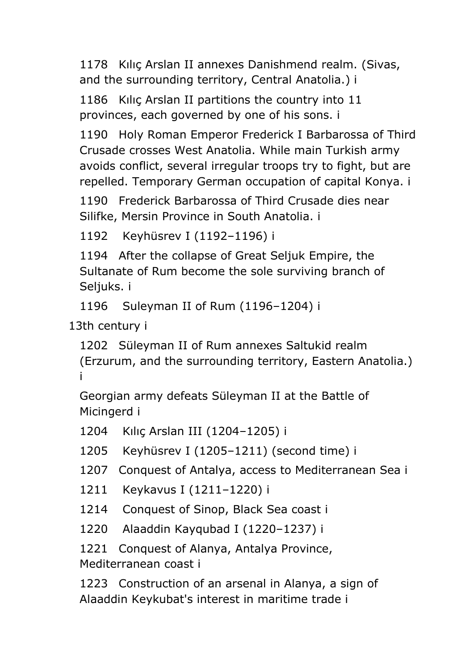1178 [Kılıç Arslan II annexes Danishmend realm. \(Sivas,](#page-27-5)  [and the surrounding territory, Central Anatolia.\) i](#page-27-5)

1186 [Kılıç Arslan II partitions the country into 11](#page-27-6)  [provinces, each governed by one of his sons. i](#page-27-6)

1190 [Holy Roman Emperor Frederick I Barbarossa of Third](#page-27-7)  [Crusade crosses West Anatolia. While main Turkish army](#page-27-7)  [avoids conflict, several irregular troops try to fight, but are](#page-27-7)  [repelled. Temporary German occupation of capital Konya. i](#page-27-7)

1190 [Frederick Barbarossa of Third Crusade dies near](#page-28-0)  [Silifke, Mersin Province in South Anatolia. i](#page-28-0)

1192 [Keyhüsrev I \(1192](#page-28-1)–1196) i

1194 [After the collapse of Great Seljuk Empire, the](#page-28-2)  [Sultanate of Rum become the sole surviving branch of](#page-28-2)  [Seljuks. i](#page-28-2)

1196 [Suleyman II of Rum \(1196](#page-28-3)–1204) i

[13th century i](#page-28-4)

1202 [Süleyman II of Rum annexes Saltukid realm](#page-28-5)  [\(Erzurum, and the surrounding territory, Eastern Anatolia.\)](#page-28-5)  [i](#page-28-5)

[Georgian army defeats Süleyman II at the Battle of](#page-28-6)  [Micingerd i](#page-28-6)

1204 [Kılıç Arslan III \(1204–](#page-28-7)1205) i

1205 Keyhüsrev I (1205–[1211\) \(second time\) i](#page-28-8)

1207 [Conquest of Antalya, access to Mediterranean Sea i](#page-28-9)

1211 [Keykavus I \(1211](#page-28-10)–1220) i

1214 [Conquest of Sinop, Black](#page-28-11) Sea coast i

1220 [Alaaddin Kayqubad I \(1220](#page-28-12)–1237) i

1221 [Conquest of Alanya, Antalya Province,](#page-28-13)  [Mediterranean coast i](#page-28-13)

1223 [Construction of an arsenal in Alanya, a sign of](#page-29-0)  [Alaaddin Keykubat's interest in maritime trade i](#page-29-0)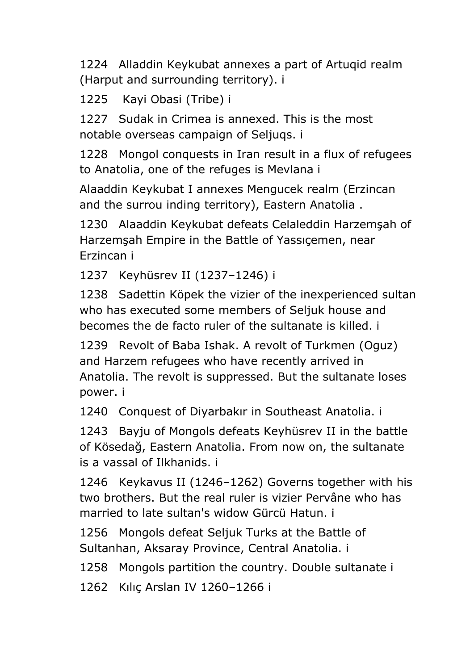1224 [Alladdin Keykubat annexes a part of Artuqid realm](#page-29-1)  [\(Harput and surrounding territory\). i](#page-29-1)

1225 [Kayi Obasi \(Tribe\) i](#page-29-2)

1227 [Sudak in Crimea is annexed. This is the most](#page-29-3)  [notable overseas campaign of Seljuqs. i](#page-29-3)

1228 [Mongol conquests in Iran result in a flux of refugees](#page-29-4)  [to Anatolia, one of the refuges is Mevlana i](#page-29-4)

[Alaaddin Keykubat I annexes Mengucek realm \(Erzincan](#page-29-5)  [and the surrou inding territory\), Eastern Anatolia .](#page-29-5)

1230 [Alaaddin Keykubat defeats Celaleddin Harzemşah of](#page-29-6)  [Harzemşah Empire in the Battle of Yassıçemen, near](#page-29-6)  [Erzincan i](#page-29-6)

1237 [Keyhüsrev II \(1237](#page-29-7)–1246) i

1238 [Sadettin Köpek the vizier of the inexperienced sultan](#page-29-8)  [who has executed some members of Seljuk house and](#page-29-8)  [becomes the de facto ruler of the sultanate is killed. i](#page-29-8)

1239 [Revolt of Baba Ishak. A revolt of Turkmen \(Oguz\)](#page-29-9)  [and Harzem refugees who have recently arrived in](#page-29-9)  Anatolia. The revolt is [suppressed. But the sultanate loses](#page-29-9)  [power. i](#page-29-9)

1240 [Conquest of Diyarbakır in Southeast Anatolia. i](#page-29-10)

1243 [Bayju of Mongols defeats Keyhüsrev II in the battle](#page-30-0)  [of Kösedağ, Eastern Anatolia. From now on, the sultanate](#page-30-0)  [is a vassal of Ilkhanids. i](#page-30-0)

1246 Keykavus II (1246–[1262\) Governs together with his](#page-30-1)  [two brothers. But the real ruler is vizier Pervâne who has](#page-30-1)  [married to late sultan's widow Gürcü Hatun. i](#page-30-1)

1256 [Mongols defeat Seljuk Turks at the Battle of](#page-30-2)  [Sultanhan, Aksaray Province, Central Anatolia. i](#page-30-2)

1258 [Mongols partition the country. Double sultanate i](#page-30-3)

1262 [Kılıç Arslan IV 1260–](#page-30-4)1266 i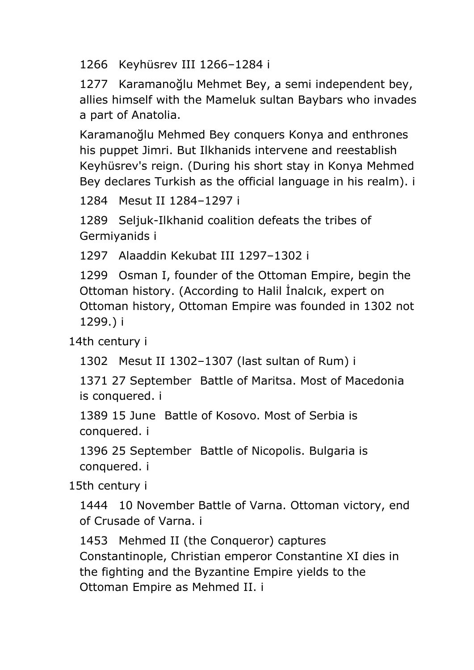1266 [Keyhüsrev III 1266](#page-30-5)–1284 i

1277 [Karamanoğlu Mehmet Bey, a s](#page-30-6)emi independent bey, [allies himself with the Mameluk sultan Baybars who invades](#page-30-6)  [a part of Anatolia.](#page-30-6)

[Karamanoğlu Mehmed Bey conquers Konya and enthrones](#page-30-7)  [his puppet Jimri. But Ilkhanids intervene and reestablish](#page-30-7)  [Keyhüsrev's reign. \(During his short stay in Konya Mehmed](#page-30-7)  [Bey declares Turkish as the official language in his realm\). i](#page-30-7)

1284 [Mesut II 1284](#page-30-8)–1297 i

1289 [Seljuk-Ilkhanid coalition defeats the tribes of](#page-30-9)  [Germiyanids i](#page-30-9)

1297 [Alaaddin Kekubat III 1297](#page-30-10)–1302 i

1299 [Osman I, founder of the Ottoman Empire, begin the](#page-30-11)  [Ottoman history. \(According to Halil İnalcık, expert on](#page-30-11)  [Ottoman history, Ottoman Empire was founded in 1302 not](#page-30-11)  [1299.\) i](#page-30-11)

[14th century i](#page-31-0)

```
1302 Mesut II 1302–1307 (last sultan of Rum) i
```
1371 27 September [Battle of Maritsa. Most of Macedonia](#page-31-2)  [is conquered. i](#page-31-2)

1389 15 June [Battle of Kosovo. Most of Serbia is](#page-31-3)  [conquered. i](#page-31-3)

1396 25 September [Battle of Nicopolis. Bulgaria is](#page-31-4)  [conquered. i](#page-31-4)

[15th century i](#page-31-5)

1444 [10 November Battle of Varna. Ottoman victory, end](#page-31-6)  [of Crusade of Varna. i](#page-31-6)

1453 [Mehmed II \(the Conqueror\) captures](#page-31-7)  [Constantinople, Christian emperor Constantine XI dies in](#page-31-7) [the fighting and the Byzantine Empire yields to the](#page-31-7)  [Ottoman Empire as Mehmed II. i](#page-31-7)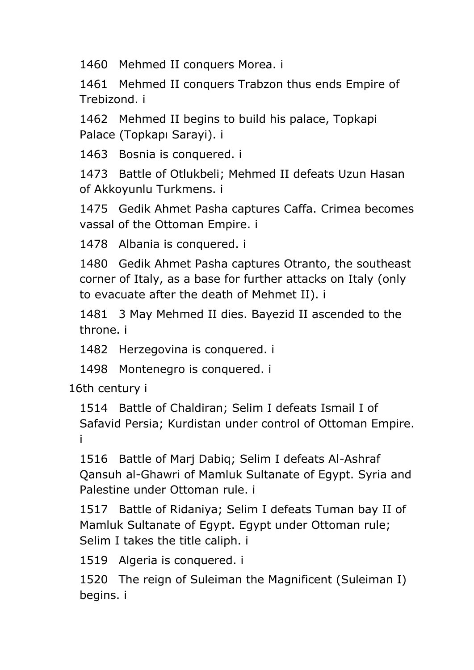1460 [Mehmed II conquers Morea. i](#page-31-8)

1461 [Mehmed II conquers Trabzon thus ends Empire of](#page-31-9)  [Trebizond. i](#page-31-9)

1462 [Mehmed II begins to build his palace, Topkapi](#page-31-10)  [Palace \(Topkapı Sarayi\). i](#page-31-10)

1463 [Bosnia is conquered. i](#page-31-11)

1473 [Battle of Otlukbeli; Mehmed II defeats Uzun Hasan](#page-31-12)  [of Akkoyunlu Turkmens. i](#page-31-12)

1475 [Gedik Ahmet Pasha captures Caffa.](#page-32-0) Crimea becomes [vassal of the Ottoman Empire. i](#page-32-0)

1478 [Albania is conquered. i](#page-32-1)

1480 [Gedik Ahmet Pasha captures Otranto, the southeast](#page-32-2)  [corner of Italy, as a base for further attacks on Italy \(only](#page-32-2)  [to evacuate after the death of Mehmet II\). i](#page-32-2)

1481 [3 May Mehmed II dies. Bayezid II ascended to the](#page-32-3)  [throne. i](#page-32-3)

1482 [Herzegovina is conquered. i](#page-32-4)

1498 [Montenegro is conquered. i](#page-32-5)

[16th century i](#page-32-6)

1514 [Battle of Chaldiran; Selim I defeats Ismail I of](#page-32-7)  [Safavid Persia; Kurdistan under control of Ottoman Empire.](#page-32-7)  [i](#page-32-7)

1516 [Battle of Marj Dabiq; Selim I defeats Al-Ashraf](#page-32-8)  [Qansuh al-Ghawri of Mamluk Sultanate of Egypt. Syria and](#page-32-8)  [Palestine under Ottoman rule. i](#page-32-8)

1517 [Battle of Ridaniya; Selim I defeats Tuman bay II of](#page-32-9)  [Mamluk Sultanate of Egypt. Egypt under Ottoman rule;](#page-32-9)  [Selim I takes the title caliph. i](#page-32-9)

1519 [Algeria is conquered. i](#page-32-10)

1520 [The reign of Suleiman the Magnificent \(Suleiman I\)](#page-32-11)  [begins. i](#page-32-11)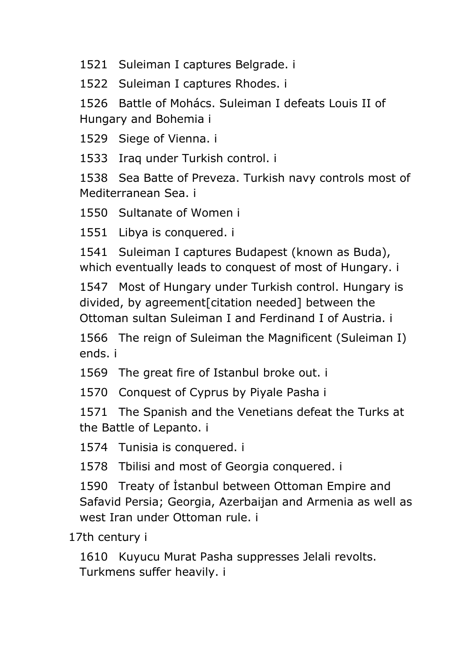[Suleiman I captures Belgrade. i](#page-32-12)

[Suleiman I captures Rhodes. i](#page-33-0)

 [Battle of Mohács. Suleiman I defeats Louis II of](#page-33-1)  [Hungary and Bohemia i](#page-33-1)

[Siege of Vienna. i](#page-33-2)

[Iraq under Turkish control. i](#page-33-3)

 [Sea Batte of Preveza. Turkish navy controls most of](#page-33-4)  [Mediterranean Sea. i](#page-33-4)

[Sultanate of Women i](#page-33-5)

[Libya is conquered. i](#page-33-6)

 [Suleiman I captures Budapest \(known as Buda\),](#page-33-7)  [which eventually leads to conquest of most of Hungary. i](#page-33-7)

 [Most of Hungary under Turkish control. Hungary is](#page-33-8)  [divided, by agreement\[citation needed\] between the](#page-33-8)  [Ottoman sultan Suleiman I and Ferdinand I of Austria. i](#page-33-8)

 [The reign of Suleiman the Magnificent \(Suleiman I\)](#page-33-9)  [ends. i](#page-33-9)

[The great fire of Istanbul broke out. i](#page-33-10)

[Conquest of Cyprus by Piyale Pasha i](#page-33-11)

 [The Spanish and the Venetians defeat the Turks at](#page-33-12)  [the Battle of Lepanto. i](#page-33-12)

[Tunisia is conquered. i](#page-33-13)

[Tbilisi and most of Georgia conquered. i](#page-33-14)

 [Treaty of İstanbul between Ottoman Empire and](#page-33-15)  [Safavid Persia; Georgia, Azerbaijan and Armenia as well as](#page-33-15)  [west Iran under Ottoman rule. i](#page-33-15)

[17th century](#page-34-0) i

 [Kuyucu Murat Pasha suppresses Jelali revolts.](#page-34-1)  [Turkmens suffer heavily. i](#page-34-1)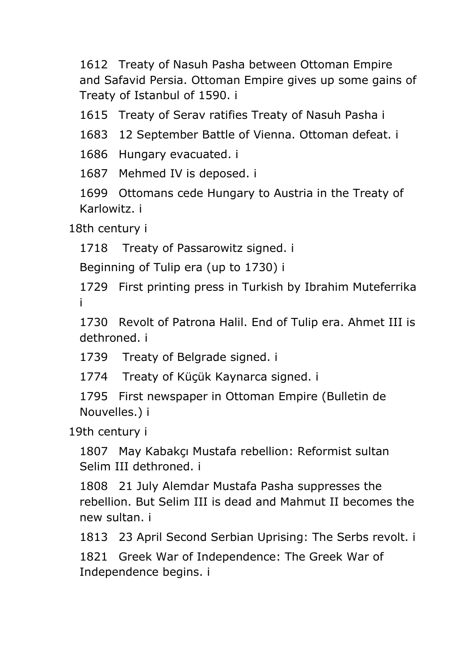1612 [Treaty of Nasuh Pasha between Ottoman Empire](#page-34-2)  [and Safavid Persia. Ottoman Empire gives up some gains of](#page-34-2)  [Treaty of Istanbul of 1590. i](#page-34-2)

1615 [Treaty of Serav ratifies Treaty of Nasuh Pasha i](#page-34-3)

1683 [12 September Battle of Vienna. Ottoman defeat. i](#page-34-4)

1686 [Hungary evacuated. i](#page-34-5)

1687 [Mehmed IV is deposed. i](#page-34-6)

1699 [Ottomans cede Hungary to Austria in the Treaty of](#page-34-7)  [Karlowitz. i](#page-34-7)

[18th century i](#page-34-8)

1718 [Treaty of Passarowitz signed. i](#page-34-9)

[Beginning of Tulip era \(up to 1730\) i](#page-34-10)

1729 [First printing press in Turkish by Ibrahim Muteferrika](#page-34-11)  [i](#page-34-11)

1730 [Revolt of Patrona Halil. End of Tulip era. Ahmet III is](#page-34-12)  [dethroned. i](#page-34-12)

1739 [Treaty of Belgrade signed. i](#page-34-13)

1774 [Treaty of Küçük Kaynarca signed. i](#page-34-14)

1795 [First newspaper in Ottoman Empire \(Bulletin de](#page-35-0)  [Nouvelles.\) i](#page-35-0)

[19th century i](#page-35-1)

1807 [May Kabakçı Mustafa rebellion: Reformist sultan](#page-35-2)  [Selim III dethroned. i](#page-35-2)

1808 [21 July Alemdar Mustafa Pasha suppresses the](#page-35-3)  [rebellion. But Selim III is dead and Mahmut II becomes the](#page-35-3)  [new sultan. i](#page-35-3)

1813 [23 April Second Serbian Uprising: The Serbs revolt. i](#page-35-4)

1821 [Greek War of Independence: The Greek War of](#page-35-5)  [Independence begins. i](#page-35-5)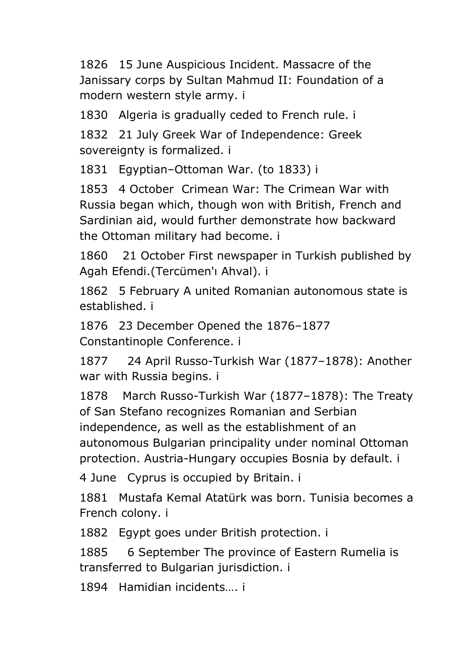1826 [15 June Auspicious Incident. Massacre of the](#page-35-6)  [Janissary corps by Sultan Mahmud II: Foundation of a](#page-35-6)  [modern western style army. i](#page-35-6)

1830 [Algeria is gradually ceded to French rule. i](#page-35-7)

1832 [21 July Greek War of Independence: Greek](#page-35-8)  [sovereignty is formalized. i](#page-35-8)

1831 Egyptian–[Ottoman War. \(to 1833\) i](#page-35-9)

1853 [4 October Crimean War: The Crimean War with](#page-35-10)  [Russia began which, though won with British, French and](#page-35-10)  [Sardinian aid, would further demonstrate how backward](#page-35-10)  [the Ottoman military had become. i](#page-35-10)

1860 [21 October First newspaper in Turkish published by](#page-35-11)  [Agah Efendi.\(Tercümen'ı Ahval\). i](#page-35-11)

1862 [5 February A united Romanian autonomous state is](#page-36-0)  [established. i](#page-36-0)

1876 [23 December Opened the 1876](#page-36-1)–1877 [Constantinople Conference. i](#page-36-1)

[1877 24 April Russo-Turkish War \(1877](#page-36-2)–1878): Another [war with Russia begins. i](#page-36-2)

1878 [March Russo-Turkish War \(1877](#page-36-3)–1878): The Treaty [of San Stefano recognizes Romanian and Serbian](#page-36-3)  [independence, as well as the establishment of an](#page-36-3)  [autonomous Bulgarian principality under nominal Ottoman](#page-36-3)  [protection. Austria-Hungary occupies Bosnia by default. i](#page-36-3)

4 June [Cyprus is occupied by Britain. i](#page-36-4)

1881 [Mustafa Kemal Atatürk was born. Tunisia becomes a](#page-36-5)  [French colony. i](#page-36-5)

1882 [Egypt goes under British protection. i](#page-36-6)

[1885 6 September The province of Eastern Rumelia is](#page-36-7)  [transferred to Bulgarian jurisdiction. i](#page-36-7)

1894 [Hamidian incidents…. i](#page-36-8)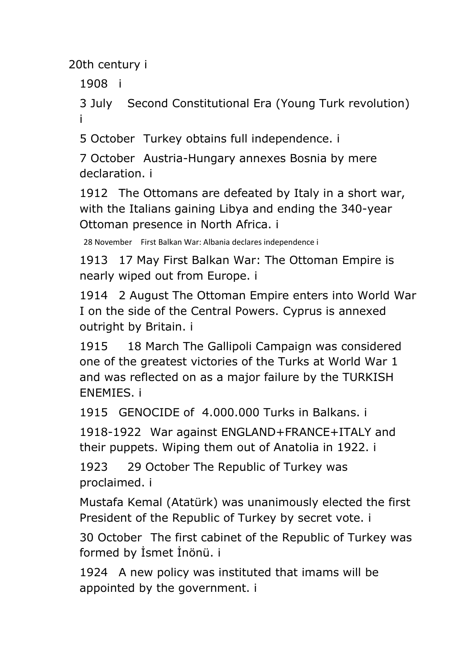[1908](#page-36-10) i

3 July [Second Constitutional Era \(Young Turk revolution\)](#page-36-11)  [i](#page-36-11)

5 October [Turkey obtains full independence. i](#page-36-12)

7 October [Austria-Hungary annexes Bosnia by mere](#page-37-0)  [declaration. i](#page-37-0)

1912 [The Ottomans are defeated by Italy in a short war,](#page-37-1)  [with the Italians gaining Libya and ending the 340-year](#page-37-1)  [Ottoman presence in North Africa. i](#page-37-1)

28 November [First Balkan War: Albania declares independence i](#page-37-2)

1913 [17 May First Balkan War: The Ottoman Empire is](#page-37-3)  [nearly wiped out from Europe. i](#page-37-3)

1914 [2 August The Ottoman Empire enters into World War](#page-37-4)  [I on the side of the Central Powers. Cyprus is annexed](#page-37-4)  [outright by Britain. i](#page-37-4)

[1915 18 March The Gallipoli Campaign was considered](#page-37-5)  [one of the greatest victories of the Turks at World War 1](#page-37-5)  [and was reflected on as a major failure by the TURKISH](#page-37-5)  [ENEMIES. i](#page-37-5)

1915 [GENOCIDE of 4.000.000 Turks in Balkans. i](#page-37-6)

1918-1922 [War against ENGLAND+FRANCE+ITALY and](#page-37-7)  [their puppets. Wiping them out of Anatolia in 1922. i](#page-37-7)

[1923 29 October The Republic of Turkey was](#page-37-8)  [proclaimed. i](#page-37-8)

[Mustafa Kemal \(Atatürk\) was unanimously elected the first](#page-37-9)  [President of the Republic of Turkey by secret vote. i](#page-37-9)

30 October [The first cabinet of the Republic of Turkey was](#page-37-10)  [formed by İsmet İnönü. i](#page-37-10)

1924 [A new policy was instituted that imams will be](#page-38-0)  [appointed by the government. i](#page-38-0)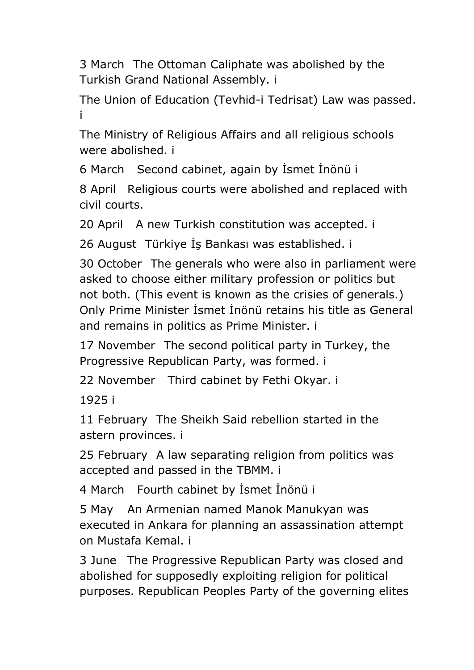3 March [The Ottoman Caliphate was abolished by the](#page-38-1)  [Turkish Grand National Assembly. i](#page-38-1)

The [Union of Education \(Tevhid-i Tedrisat\) Law was passed.](#page-38-2)  [i](#page-38-2)

[The Ministry of Religious Affairs and all religious schools](#page-38-3)  [were abolished. i](#page-38-3)

6 March [Second cabinet, again by İsmet İnönü i](#page-38-4)

8 April [Religious courts were abolished and replaced with](#page-38-5)  [civil courts.](#page-38-5)

20 April [A new Turkish constitution was accepted. i](#page-38-6)

26 August [Türkiye İş Bankası was established. i](#page-38-7)

30 October [The generals who were also in parliament were](#page-38-8)  [asked to choose either military profession or politics but](#page-38-8)  [not both. \(This event is known as the crisies of generals.\)](#page-38-8)  [Only Prime Minister İsmet İnönü retains his title as General](#page-38-8)  [and remains in politics as Prime Minister. i](#page-38-8)

17 November [The second political party in Turkey, the](#page-38-9)  [Progressive Republican Party, was formed. i](#page-38-9)

22 November [Third cabinet by Fethi Okyar. i](#page-38-10)

[1925 i](#page-38-11)

11 February [The Sheikh Said rebellion started in the](#page-38-12)  [astern provinces. i](#page-38-12)

25 February [A law separating religion from politics was](#page-39-0)  [accepted and passed in the TBMM. i](#page-39-0)

4 March [Fourth cabinet by İsmet İnönü i](#page-39-1)

5 May [An Armenian named Manok Manukyan was](#page-39-2)  [executed in Ankara for planning an assassination attempt](#page-39-2)  [on Mustafa Kemal. i](#page-39-2)

3 June [The Progressive Republican Party was closed and](#page-39-3)  [abolished for supposedly exploiting religion for political](#page-39-3)  [purposes. Republican Peoples Party of the governing elites](#page-39-3)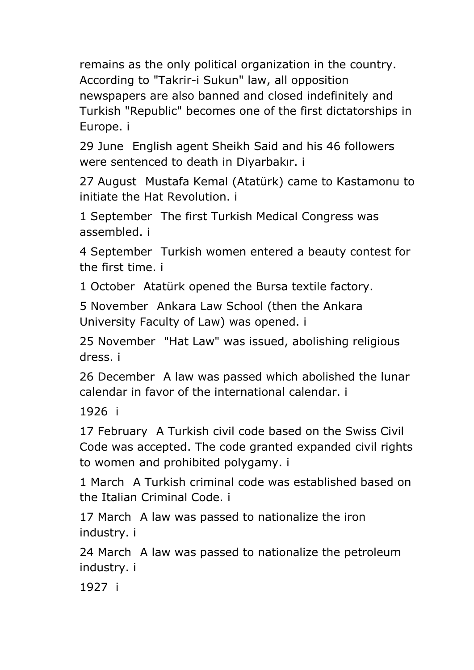remains as the only political organization in the country. According to "Takrir-i Sukun" law, all opposition newspapers are also banned and closed indefinitely and Turkish "Republic" becomes one of the first dictatorships in Europe. i

29 June [English agent Sheikh Said and his 46 followers](#page-39-4)  [were sentenced to death in Diyarbakır. i](#page-39-4)

27 August [Mustafa Kemal \(Atatürk\) came to Kastamonu to](#page-39-5)  [initiate the Hat Revolution. i](#page-39-5)

1 September [The first Turkish Medical Congress was](#page-39-6)  [assembled. i](#page-39-6)

4 September [Turkish women entered a beauty contest for](#page-39-7)  [the first time. i](#page-39-7)

1 October [Atatürk opened the Bursa textile factory.](#page-39-8)

5 November [Ankara Law School \(then the](#page-39-9) Ankara [University Faculty of Law\) was opened. i](#page-39-9)

25 November ["Hat Law" was issued, abolishing religious](#page-39-10)  [dress. i](#page-39-10)

26 December [A law was passed which abolished the lunar](#page-40-0)  [calendar in favor of the international calendar. i](#page-40-0)

[1926 i](#page-40-1)

17 February [A Turkish civil code based on the Swiss Civil](#page-40-2)  [Code was accepted. The code granted expanded civil rights](#page-40-2)  [to women and prohibited polygamy. i](#page-40-2)

1 March [A Turkish criminal code was established based on](#page-40-3)  [the Italian Criminal Code. i](#page-40-3)

17 March [A law was passed to nationalize the iron](#page-40-4)  [industry. i](#page-40-4)

24 March [A law was passed to nationalize the petroleum](#page-40-5)  [industry. i](#page-40-5)

[1927 i](#page-40-6)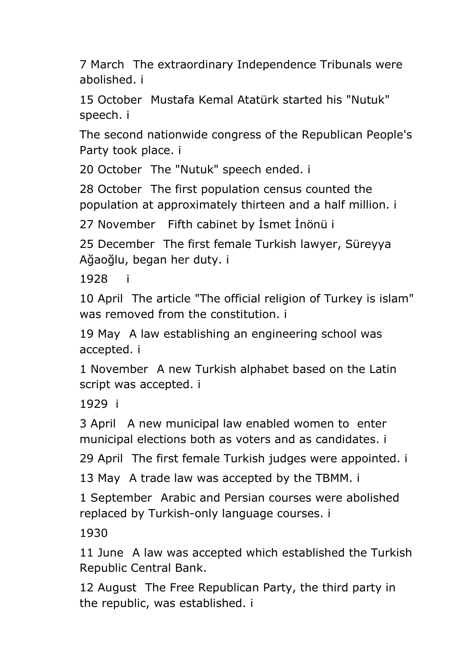7 March [The extraordinary Independence Tribunals were](#page-40-7)  [abolished. i](#page-40-7)

15 October [Mustafa Kemal Atatürk started his "Nutuk"](#page-40-8)  [speech. i](#page-40-8)

[The second nationwide congress of the Republican People's](#page-40-9)  [Party took place. i](#page-40-9)

20 October [The "Nutuk" speech ended. i](#page-40-10)

28 October [The first population census counted the](#page-40-11)  [population at approximately thirteen and a half million. i](#page-40-11)

27 November [Fifth cabinet by İsmet İnönü i](#page-40-12)

25 December [The first female Turkish lawyer, Süreyya](#page-41-0)  [Ağaoğlu, began her duty. i](#page-41-0)

1928

10 April [The article "The official religion of Turkey is islam"](#page-41-2)  [was removed from the constitution. i](#page-41-2)

19 May [A law establishing an engineering school was](#page-41-3)  [accepted. i](#page-41-3)

1 November [A new Turkish alphabet based on the Latin](#page-41-4)  [script was accepted. i](#page-41-4)

[1929 i](#page-41-5)

3 April [A new municipal law enabled women to enter](#page-41-6)  [municipal elections both as voters and as candidates. i](#page-41-6)

29 April [The first female Turkish judges were appointed. i](#page-41-7)

13 May [A trade law was accepted by the TBMM. i](#page-41-8)

1 September [Arabic and Persian courses were abolished](#page-41-9)  [replaced by Turkish-only language courses. i](#page-41-9)

[1930](#page-41-10)

11 June [A law was accepted which established the Turkish](#page-41-11)  [Republic Central Bank.](#page-41-11)

12 August [The Free Republican Party, the third party in](#page-41-12)  [the republic, was established. i](#page-41-12)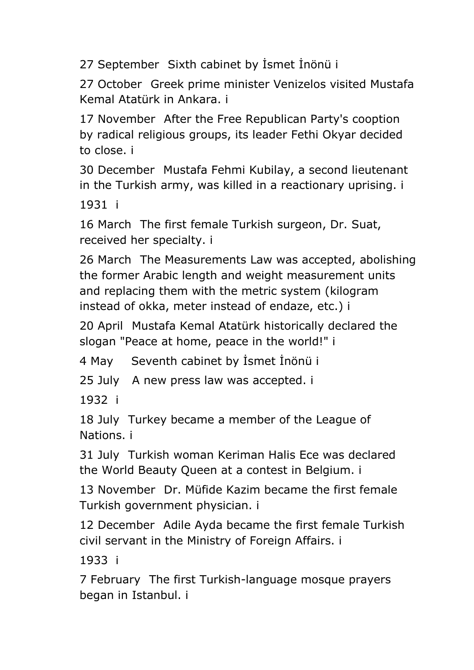27 September [Sixth cabinet by İsmet İnönü i](#page-42-0)

27 October [Greek prime minister Venizelos visited Mustafa](#page-42-1)  [Kemal Atatürk in Ankara. i](#page-42-1)

17 November [After the Free Republican Party's cooption](#page-42-2)  [by radical religious groups, its leader Fethi Okyar decided](#page-42-2)  [to close. i](#page-42-2)

30 December [Mustafa Fehmi Kubilay, a second lieutenant](#page-42-3)  [in the Turkish army, was killed in a reactionary uprising. i](#page-42-3)

[1931 i](#page-42-4)

16 March [The first female Turkish surgeon, Dr. Suat,](#page-42-5)  [received her specialty. i](#page-42-5)

26 March [The Measurements Law was accepted, abolishing](#page-42-6)  [the former Arabic length and weight measurement units](#page-42-6)  [and replacing them with the metric system \(kilogram](#page-42-6)  [instead of okka, meter instead of endaze, etc.\) i](#page-42-6)

20 April [Mustafa Kemal Atatürk historically declared the](#page-42-7)  [slogan "Peace at home, peace in the world!" i](#page-42-7)

4 May [Seventh cabinet b](#page-42-8)y İsmet İnönü i

25 July [A new press law was accepted. i](#page-42-9)

[1932 i](#page-42-10)

18 July [Turkey became a member of the League of](#page-42-11)  [Nations. i](#page-42-11)

31 July [Turkish woman Keriman Halis Ece was declared](#page-43-0)  [the World Beauty Queen at a contest in Belgium. i](#page-43-0)

13 November [Dr. Müfide Kazim became the first female](#page-43-1)  [Turkish government physician. i](#page-43-1)

12 December [Adile Ayda became the first female Turkish](#page-43-2)  [civil servant in the Ministry of Foreign Affairs. i](#page-43-2)

[1933 i](#page-43-3)

7 February [The first Turkish-language mosque prayers](#page-43-4)  [began in Istanbul. i](#page-43-4)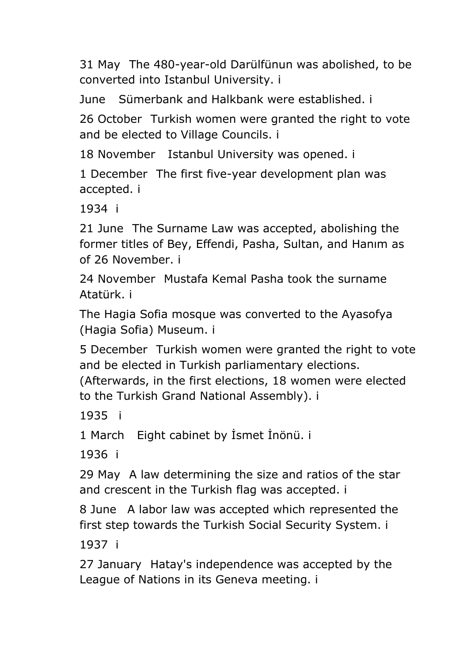31 May [The 480-year-old Darülfünun was abolished, to be](#page-43-5)  [converted into Istanbul University. i](#page-43-5)

June [Sümerbank and Halkbank were established. i](#page-43-6)

26 October [Turkish women were granted the right to vote](#page-43-7)  [and be elected to Village Councils. i](#page-43-7)

18 November [Istanbul University was opened. i](#page-43-8)

1 December [The first five-year development plan was](#page-43-9)  [accepted. i](#page-43-9)

[1934 i](#page-43-10)

21 June [The Surname Law was accepted, abolishing the](#page-43-11)  [former titles of Bey, Effendi, Pasha, Sultan, and Hanım as](#page-43-11)  [of 26 November. i](#page-43-11)

24 November [Mustafa Kemal Pasha took the surname](#page-44-0)  [Atatürk. i](#page-44-0)

[The Hagia Sofia mosque was converted to the Ayasofya](#page-44-1)  [\(Hagia Sofia\) Museum. i](#page-44-1)

5 December [Turkish women were granted the right to vote](#page-44-2)  [and be elected in Turkish parliamentary elections.](#page-44-2) 

[\(Afterwards, in the first elections, 18](#page-44-2) women were elected [to the Turkish Grand National Assembly\). i](#page-44-2)

[1935](#page-44-3) i

1 March [Eight cabinet by İsmet İnönü. i](#page-44-4)

[1936 i](#page-44-5)

29 May [A law determining the size and ratios of the star](#page-44-6)  [and crescent in the Turkish flag was accepted. i](#page-44-6)

8 June [A labor law was accepted which represented the](#page-44-7)  [first step towards the Turkish Social Security System. i](#page-44-7)

[1937 i](#page-44-8)

27 January [Hatay's independence was accepted by the](#page-44-9)  [League of Nations in its Geneva meeting. i](#page-44-9)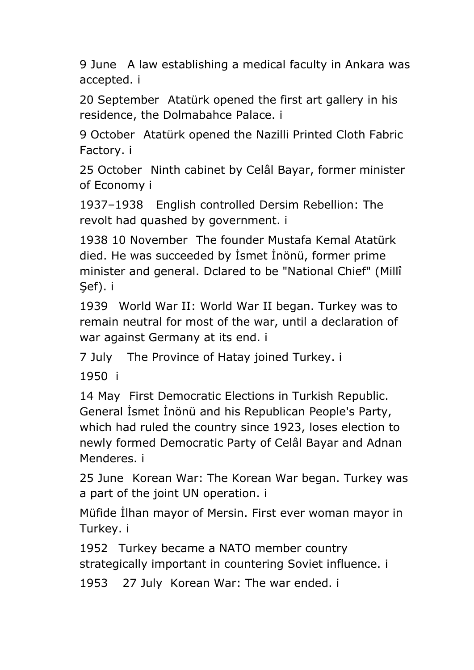9 June [A law establishing a medical faculty in Ankara was](#page-44-10)  [accepted. i](#page-44-10)

20 September [Atatürk opened the first art gallery in his](#page-45-0)  [residence, the Dolmabahce Palace. i](#page-45-0)

9 October [Atatürk opened the Nazilli Printed Cloth Fabric](#page-45-1)  [Factory. i](#page-45-1)

25 October [Ninth cabinet by Celâl Bayar, former minister](#page-45-2)  [of Economy i](#page-45-2)

1937–[1938 English controlled Dersim Rebellion: The](#page-45-3)  [revolt had quashed by government. i](#page-45-3)

1938 10 November [The founder Mustafa Kemal Atatürk](#page-45-4)  [died. He was succeeded by İsmet İnönü, former prime](#page-45-4)  [minister and general. Dclared to be "National Chief" \(Millî](#page-45-4)  [Şef\). i](#page-45-4)

1939 [World War II: World War II began. Turkey was to](#page-45-5)  [remain neutral for most of the war, until a declaration of](#page-45-5)  [war against Germany at its end. i](#page-45-5)

7 July [The Province of Hatay joined Turkey. i](#page-45-6)

[1950 i](#page-45-7)

14 May [First Democratic Elections in Turkish Republic.](#page-45-8)  [General İsmet İnönü and his Republican People's Party,](#page-45-8)  [which had ruled the country since 1923, loses election to](#page-45-8)  [newly formed Democratic Party of Celâl Bayar and Adnan](#page-45-8)  [Menderes. i](#page-45-8)

25 June [Korean War: The Korean War began. Turkey was](#page-45-9)  [a part of the joint UN operation. i](#page-45-9)

M[üfide İlhan mayor of Mersin. First ever woman mayor in](#page-46-0)  [Turkey. i](#page-46-0)

1952 [Turkey became a NATO member country](#page-46-1)  [strategically important in countering Soviet influence.](#page-46-1) i

1953 [27 July Korean War: The war ended. i](#page-46-2)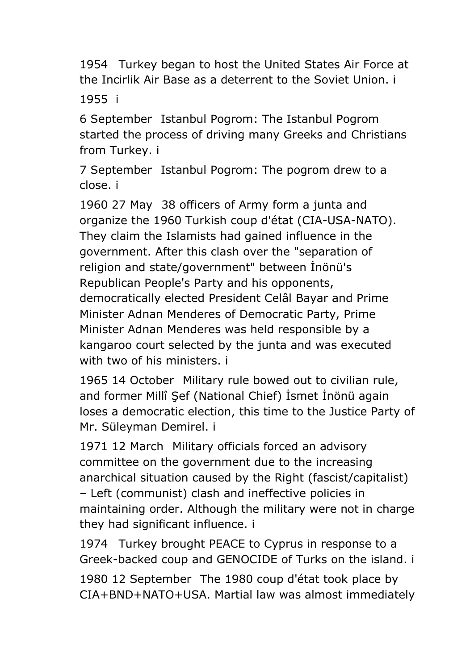1954 [Turkey began to host the United States Air Force at](#page-46-3)  [the Incirlik Air Base as a deterrent to the Soviet Union. i](#page-46-3)

[1955 i](#page-46-4)

6 September [Istanbul Pogrom: The Istanbul Pogrom](#page-46-5)  [started the process of driving many Greeks and Christians](#page-46-5)  [from Turkey. i](#page-46-5)

7 September [Istanbul Pogrom: The pogrom drew to a](#page-46-6)  [close. i](#page-46-6)

1960 27 May [38 officers of Army form a junta and](#page-46-7)  [organize the 1960 Turkish coup d'état \(CIA-USA-NATO\).](#page-46-7)  [They claim the Islamists had gained influence in the](#page-46-7)  [government. After this clash over the "separation of](#page-46-7)  [religion and state/government" between İnönü's](#page-46-7)  [Republican People's Party and his opponents,](#page-46-7)  [democratically elected President Celâl Bayar and Prime](#page-46-7)  [Minister Adnan Menderes of Democratic Party, Prime](#page-46-7)  [Minister Adnan Menderes was held responsible by a](#page-46-7)  [kangaroo court selected by the junta and was executed](#page-46-7)  [with two of his ministers. i](#page-46-7)

1965 14 October [Military rule bowed out to civilian rule,](#page-46-8)  and [former Millî Şef \(National Chief\) İsmet İnönü again](#page-46-8)  [loses a democratic election, this time to the Justice Party of](#page-46-8)  [Mr. Süleyman Demirel. i](#page-46-8)

1971 12 March [Military officials forced an advisory](#page-47-0)  [committee on the government due to the increasing](#page-47-0)  [anarchical situation caused by the Right \(fascist/capitalist\)](#page-47-0)  – [Left \(communist\) clash and ineffective policies in](#page-47-0)  [maintaining order. Although the military were not in charge](#page-47-0) [they had significant influence. i](#page-47-0)

1974 [Turkey brought PEACE to Cyprus in response to a](#page-47-1)  [Greek-backed coup and GENOCIDE of Turks on the island. i](#page-47-1)

1980 12 September [The 1980 coup d'état took place by](#page-47-2)  [CIA+BND+NATO+USA. Martial law was almost immediately](#page-47-2)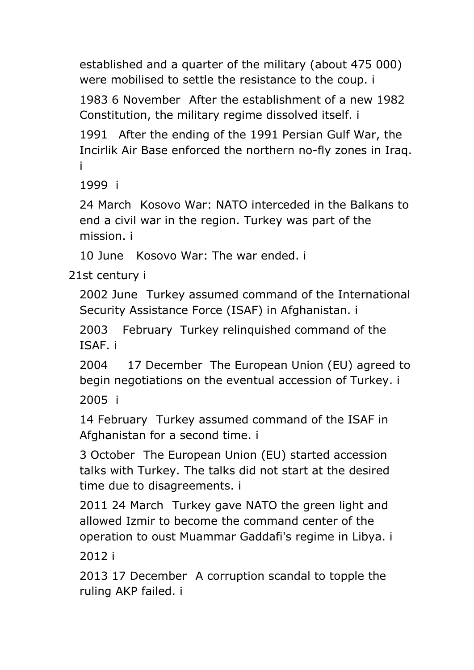established and a quarter of the military (about 475 000) were mobilised to settle the resistance to the coup. i

1983 6 November [After the establishment of a new 1982](#page-47-3)  [Constitution, the military regime dissolved itself. i](#page-47-3)

1991 [After the ending of the 1991 Persian Gulf War, the](#page-47-4)  [Incirlik Air Base enforced the northern no-fly zones in Iraq.](#page-47-4)  [i](#page-47-4)

[1999 i](#page-47-5)

24 March [Kosovo War: NATO interceded in the Balkans to](#page-47-6)  [end a civil war in the region. Turkey was part of the](#page-47-6)  [mission. i](#page-47-6)

10 June [Kosovo War: The war ended. i](#page-48-0)

[21st century](#page-48-1) i

2002 June [Turkey assumed command of the International](#page-48-2)  [Security Assistance Force \(ISAF\) in Afghanistan. i](#page-48-2)

2003 [February Turkey relinquished command of the](#page-48-3)  [ISAF. i](#page-48-3)

[2004 17 December The European Union \(EU\) agreed to](#page-48-4)  [begin negotiations on the eventual accession of Turkey. i](#page-48-4) [2005 i](#page-48-5)

14 February [Turkey assumed command of the ISAF in](#page-48-6)  [Afghanistan for a second time. i](#page-48-6)

3 October [The European Union \(EU\) started accession](#page-48-7)  [talks with Turkey. The talks did not start at the desired](#page-48-7)  [time due to disagreements. i](#page-48-7)

2011 24 March [Turkey gave NATO the green light and](#page-48-8)  [allowed Izmir to become the command center of the](#page-48-8)  [operation to oust Muammar Gaddafi's regime in Libya. i](#page-48-8)

[2012 i](#page-48-9)

2013 17 December [A corruption scandal to topple the](#page-48-10)  [ruling AKP failed. i](#page-48-10)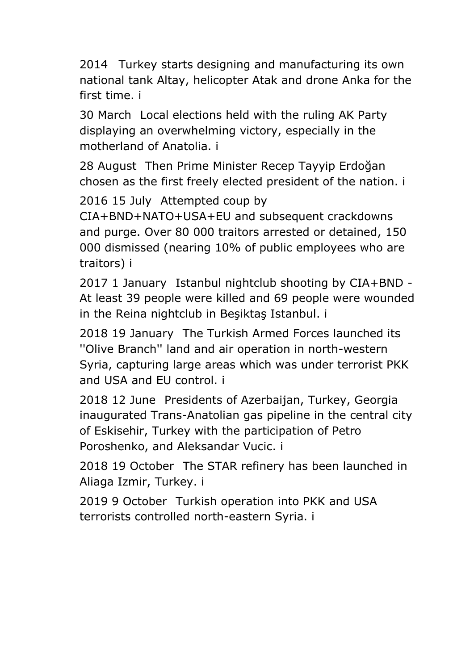2014 [Turkey starts designing and manufacturing its own](#page-48-11)  [national tank Altay, helicopter Atak and drone Anka for the](#page-48-11)  [first time. i](#page-48-11)

30 March [Local elections held with the ruling AK Party](#page-49-0)  [displaying an overwhelming victory, especially in the](#page-49-0)  [motherland of Anatolia. i](#page-49-0)

28 August [Then Prime Minister Recep Tayyip Erdoğan](#page-49-1)  [chosen as the first freely elected president of the nation. i](#page-49-1)

2016 15 July [Attempted coup by](#page-49-2) 

[CIA+BND+NATO+USA+EU and subsequent crackdowns](#page-49-2)  [and purge. Over 80 000 traitors arrested or detained, 150](#page-49-2)  [000 dismissed \(nearing 10% of public employees who are](#page-49-2)  [traitors\) i](#page-49-2)

2017 1 January [Istanbul nightclub shooting by CIA+BND -](#page-49-3) [At least 39 people were killed and 69 people were wounded](#page-49-3)  [in the Reina nightclub in Beşiktaş Istanbul. i](#page-49-3)

2018 19 January [The Turkish Armed Forces launched its](#page-49-4)  [''Olive Branch'' land and air operation in north-western](#page-49-4)  [Syria, capturing large areas which was under terrorist PKK](#page-49-4)  [and USA and EU control. i](#page-49-4)

2018 12 June [Presidents of Azerbaijan, Turkey, Georgia](#page-49-5)  [inaugurated Trans-Anatolian gas pipeline in the central city](#page-49-5)  [of Eskisehir, Turkey with the participation of Petro](#page-49-5)  [Poroshenko, and Aleksandar Vucic. i](#page-49-5)

2018 19 October [The STAR refinery has been launched in](#page-49-6)  [Aliaga Izmir, Turkey. i](#page-49-6)

2019 9 October [Turkish operation into PKK and USA](#page-50-0)  [terrorists controlled north-eastern Syria. i](#page-50-0)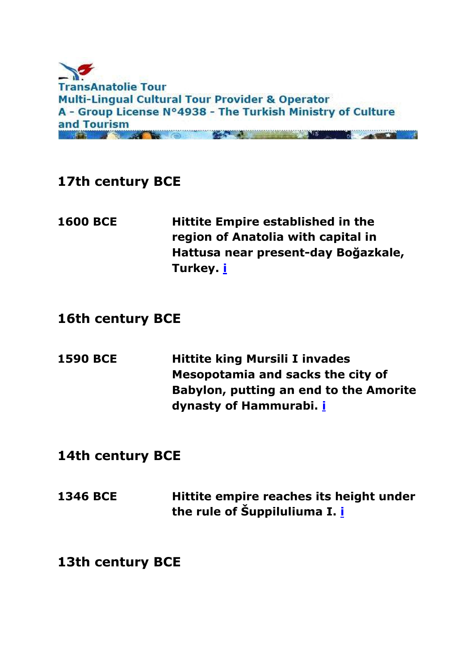

## <span id="page-21-0"></span>**17th century BCE**

<span id="page-21-1"></span>**1600 BCE Hittite Empire established in the region of Anatolia with capital in Hattusa near present-day Boğazkale, Turkey. [i](#page-0-0)**

#### <span id="page-21-2"></span>**16th century BCE**

<span id="page-21-3"></span>**1590 BCE Hittite king Mursili I invades Mesopotamia and sacks the city of Babylon, putting an end to the Amorite dynasty of Hammurabi. [i](#page-0-0)**

#### <span id="page-21-4"></span>**14th century BCE**

<span id="page-21-5"></span>**1346 BCE Hittite empire reaches its height under the rule of Šuppiluliuma I. [i](#page-0-0)**

<span id="page-21-6"></span>**13th century BCE**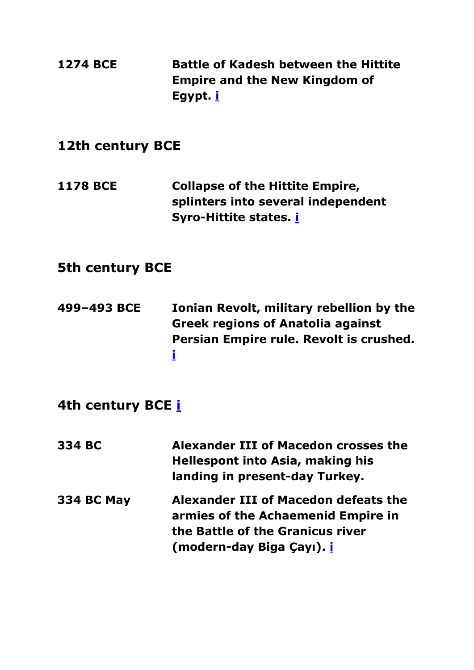<span id="page-22-7"></span><span id="page-22-6"></span><span id="page-22-5"></span><span id="page-22-4"></span><span id="page-22-3"></span><span id="page-22-2"></span><span id="page-22-1"></span><span id="page-22-0"></span>

| <b>1274 BCE</b>        | <b>Battle of Kadesh between the Hittite</b><br><b>Empire and the New Kingdom of</b><br>Egypt. i                                                    |  |
|------------------------|----------------------------------------------------------------------------------------------------------------------------------------------------|--|
| 12th century BCE       |                                                                                                                                                    |  |
| <b>1178 BCE</b>        | <b>Collapse of the Hittite Empire,</b><br>splinters into several independent<br>Syro-Hittite states. <i>i</i>                                      |  |
| <b>5th century BCE</b> |                                                                                                                                                    |  |
| 499-493 BCE            | Ionian Revolt, military rebellion by the<br><b>Greek regions of Anatolia against</b><br>Persian Empire rule. Revolt is crushed.<br>İ               |  |
| 4th century BCE i      |                                                                                                                                                    |  |
| 334 BC                 | Alexander III of Macedon crosses the<br><b>Hellespont into Asia, making his</b><br>landing in present-day Turkey.                                  |  |
| <b>334 BC May</b>      | Alexander III of Macedon defeats the<br>armies of the Achaemenid Empire in<br>the Battle of the Granicus river<br>(modern-day Biga Çayı). <u>İ</u> |  |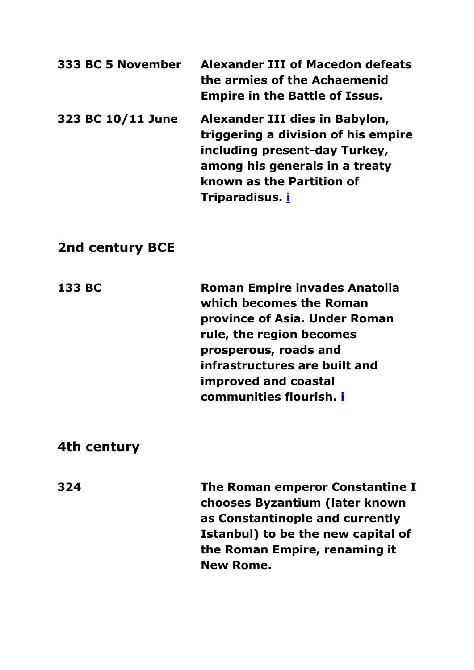<span id="page-23-1"></span><span id="page-23-0"></span>

| 333 BC 5 November | <b>Alexander III of Macedon defeats</b><br>the armies of the Achaemenid<br><b>Empire in the Battle of Issus.</b>                                                                                |
|-------------------|-------------------------------------------------------------------------------------------------------------------------------------------------------------------------------------------------|
| 323 BC 10/11 June | Alexander III dies in Babylon,<br>triggering a division of his empire<br>including present-day Turkey,<br>among his generals in a treaty<br>known as the Partition of<br>Triparadisus. <b>i</b> |

#### <span id="page-23-2"></span>**2nd century BCE**

<span id="page-23-3"></span>**133 BC Roman Empire invades Anatolia which becomes the Roman province of Asia. Under Roman rule, the region becomes prosperous, roads and infrastructures are built and improved and coastal communities flourish. [i](#page-0-0)**

#### <span id="page-23-4"></span>**4th century**

<span id="page-23-5"></span>**324 The Roman emperor Constantine I chooses Byzantium (later known as Constantinople and currently Istanbul) to be the new capital of the Roman Empire, renaming it New Rome.**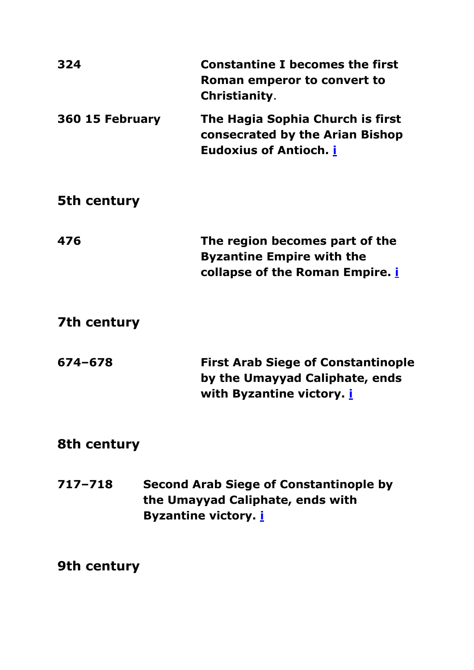<span id="page-24-8"></span><span id="page-24-7"></span><span id="page-24-6"></span><span id="page-24-5"></span><span id="page-24-4"></span><span id="page-24-3"></span><span id="page-24-2"></span><span id="page-24-1"></span><span id="page-24-0"></span>

| 324             | <b>Constantine I becomes the first</b><br>Roman emperor to convert to<br>Christianity.                           |  |
|-----------------|------------------------------------------------------------------------------------------------------------------|--|
| 360 15 February | The Hagia Sophia Church is first<br>consecrated by the Arian Bishop<br><b>Eudoxius of Antioch.</b> <i>i</i>      |  |
| 5th century     |                                                                                                                  |  |
| 476             | The region becomes part of the<br><b>Byzantine Empire with the</b><br>collapse of the Roman Empire. <i>i</i>     |  |
| 7th century     |                                                                                                                  |  |
| 674-678         | <b>First Arab Siege of Constantinople</b><br>by the Umayyad Caliphate, ends<br>with Byzantine victory. <i>i</i>  |  |
| 8th century     |                                                                                                                  |  |
| $717 - 718$     | <b>Second Arab Siege of Constantinople by</b><br>the Umayyad Caliphate, ends with<br><b>Byzantine victory. i</b> |  |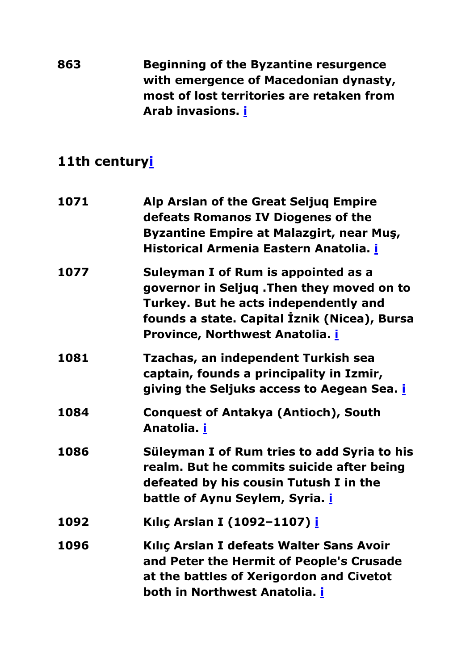<span id="page-25-0"></span>**863 Beginning of the Byzantine resurgence with emergence of Macedonian dynasty, most of lost territories are retaken from Arab invasions. [i](#page-0-0)**

<span id="page-25-8"></span><span id="page-25-7"></span><span id="page-25-6"></span><span id="page-25-5"></span><span id="page-25-4"></span><span id="page-25-3"></span><span id="page-25-2"></span><span id="page-25-1"></span>

| 1071 | Alp Arslan of the Great Seljuq Empire<br>defeats Romanos IV Diogenes of the<br><b>Byzantine Empire at Malazgirt, near Mus,</b><br>Historical Armenia Eastern Anatolia. i                                     |
|------|--------------------------------------------------------------------------------------------------------------------------------------------------------------------------------------------------------------|
| 1077 | Suleyman I of Rum is appointed as a<br>governor in Seljuq .Then they moved on to<br>Turkey. But he acts independently and<br>founds a state. Capital İznik (Nicea), Bursa<br>Province, Northwest Anatolia. i |
| 1081 | Tzachas, an independent Turkish sea<br>captain, founds a principality in Izmir,<br>giving the Seljuks access to Aegean Sea. <i>i</i>                                                                         |
| 1084 | <b>Conquest of Antakya (Antioch), South</b><br>Anatolia. i                                                                                                                                                   |
| 1086 | Süleyman I of Rum tries to add Syria to his<br>realm. But he commits suicide after being<br>defeated by his cousin Tutush I in the<br>battle of Aynu Seylem, Syria. <i>i</i>                                 |
| 1092 | Kılıç Arslan I (1092-1107) i                                                                                                                                                                                 |
| 1096 | Kılıç Arslan I defeats Walter Sans Avoir<br>and Peter the Hermit of People's Crusade<br>at the battles of Xerigordon and Civetot<br>both in Northwest Anatolia. i                                            |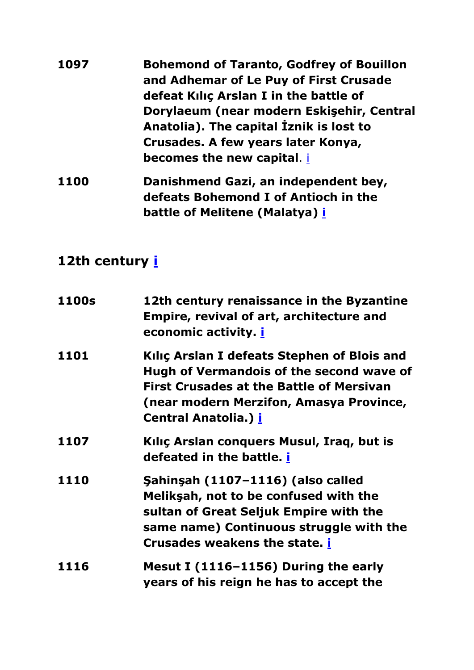<span id="page-26-0"></span>

| 1097        | <b>Bohemond of Taranto, Godfrey of Bouillon</b><br>and Adhemar of Le Puy of First Crusade<br>defeat Kilic Arslan I in the battle of |
|-------------|-------------------------------------------------------------------------------------------------------------------------------------|
|             | Dorylaeum (near modern Eskisehir, Central<br>Anatolia). The capital Iznik is lost to                                                |
|             | Crusades. A few years later Konya,<br>becomes the new capital. i                                                                    |
| <b>1100</b> | Danishmend Gazi, an independent bey,<br>defeats Bohemond I of Antioch in the                                                        |

<span id="page-26-1"></span>**battle of Melitene (Malatya) [i](#page-0-0)**

<span id="page-26-7"></span><span id="page-26-6"></span><span id="page-26-5"></span><span id="page-26-4"></span><span id="page-26-3"></span><span id="page-26-2"></span>

| <b>1100s</b> | 12th century renaissance in the Byzantine<br><b>Empire, revival of art, architecture and</b><br>economic activity. <b>i</b>                                                                                          |
|--------------|----------------------------------------------------------------------------------------------------------------------------------------------------------------------------------------------------------------------|
| 1101         | Kılıç Arslan I defeats Stephen of Blois and<br>Hugh of Vermandois of the second wave of<br><b>First Crusades at the Battle of Mersivan</b><br>(near modern Merzifon, Amasya Province,<br><b>Central Anatolia.) i</b> |
| 1107         | Kiliç Arslan conquers Musul, Iraq, but is<br>defeated in the battle. <b>i</b>                                                                                                                                        |
| 1110         | Şahinşah (1107-1116) (also called<br>Meliksah, not to be confused with the<br>sultan of Great Seljuk Empire with the<br>same name) Continuous struggle with the<br>Crusades weakens the state. i                     |
| 1116         | Mesut I (1116-1156) During the early<br>years of his reign he has to accept the                                                                                                                                      |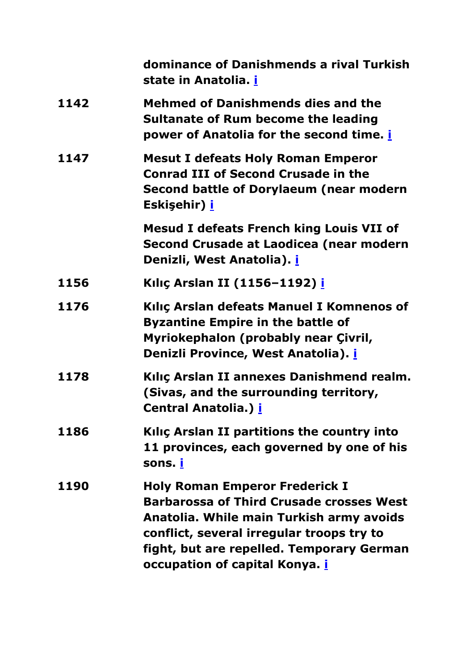<span id="page-27-7"></span><span id="page-27-6"></span><span id="page-27-5"></span><span id="page-27-4"></span><span id="page-27-3"></span><span id="page-27-2"></span><span id="page-27-1"></span><span id="page-27-0"></span>

| dominance of Danishmends a rival Turkish<br>state in Anatolia. i                                                                                                                                                                                                        |
|-------------------------------------------------------------------------------------------------------------------------------------------------------------------------------------------------------------------------------------------------------------------------|
| <b>Mehmed of Danishmends dies and the</b><br>Sultanate of Rum become the leading<br>power of Anatolia for the second time. <i>i</i>                                                                                                                                     |
| <b>Mesut I defeats Holy Roman Emperor</b><br><b>Conrad III of Second Crusade in the</b><br>Second battle of Dorylaeum (near modern<br>Eskişehir) <u>i</u>                                                                                                               |
| <b>Mesud I defeats French king Louis VII of</b><br>Second Crusade at Laodicea (near modern<br>Denizli, West Anatolia). i                                                                                                                                                |
| Kılıç Arslan II (1156-1192) i                                                                                                                                                                                                                                           |
| Kiliç Arslan defeats Manuel I Komnenos of<br><b>Byzantine Empire in the battle of</b><br>Myriokephalon (probably near Çivril,<br>Denizli Province, West Anatolia). i                                                                                                    |
| Kılıç Arslan II annexes Danishmend realm.<br>(Sivas, and the surrounding territory,<br><b>Central Anatolia.) i</b>                                                                                                                                                      |
| Kiliç Arslan II partitions the country into<br>11 provinces, each governed by one of his<br>sons. <u>i</u>                                                                                                                                                              |
| <b>Holy Roman Emperor Frederick I</b><br><b>Barbarossa of Third Crusade crosses West</b><br>Anatolia. While main Turkish army avoids<br>conflict, several irregular troops try to<br>fight, but are repelled. Temporary German<br>occupation of capital Konya. <i>i</i> |
|                                                                                                                                                                                                                                                                         |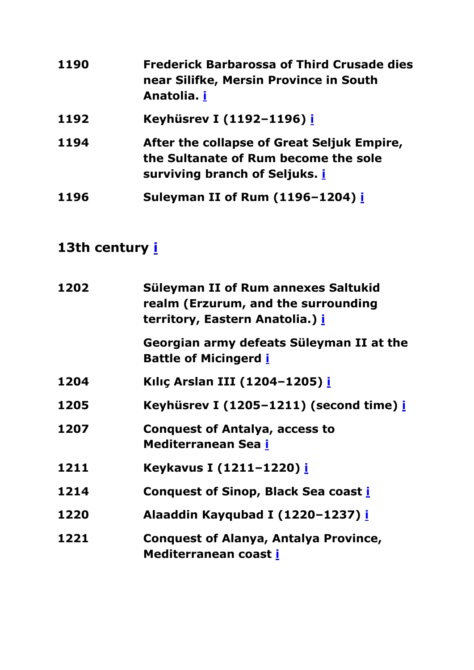<span id="page-28-2"></span><span id="page-28-1"></span><span id="page-28-0"></span>

| 1190 | <b>Frederick Barbarossa of Third Crusade dies</b><br>near Silifke, Mersin Province in South<br>Anatolia. i           |
|------|----------------------------------------------------------------------------------------------------------------------|
| 1192 | Keyhüsrev I (1192-1196) i                                                                                            |
| 1194 | After the collapse of Great Seljuk Empire,<br>the Sultanate of Rum become the sole<br>surviving branch of Seljuks. i |
| 1196 | Suleyman II of Rum (1196-1204) i                                                                                     |

<span id="page-28-13"></span><span id="page-28-12"></span><span id="page-28-11"></span><span id="page-28-10"></span><span id="page-28-9"></span><span id="page-28-8"></span><span id="page-28-7"></span><span id="page-28-6"></span><span id="page-28-5"></span><span id="page-28-4"></span><span id="page-28-3"></span>

| 1202 | Süleyman II of Rum annexes Saltukid                                                 |
|------|-------------------------------------------------------------------------------------|
|      | realm (Erzurum, and the surrounding<br>territory, Eastern Anatolia.) <mark>i</mark> |
|      | Georgian army defeats Süleyman II at the<br><b>Battle of Micingerd i</b>            |
| 1204 | Kılıç Arslan III (1204-1205) i                                                      |
| 1205 | Keyhüsrev I (1205–1211) (second time) i                                             |
| 1207 | <b>Conquest of Antalya, access to</b><br>Mediterranean Sea i                        |
| 1211 | Keykavus I (1211-1220) i                                                            |
| 1214 | <b>Conquest of Sinop, Black Sea coast i</b>                                         |
| 1220 | Alaaddin Kayqubad I (1220-1237) i                                                   |
| 1221 | <b>Conquest of Alanya, Antalya Province,</b><br>Mediterranean coast i               |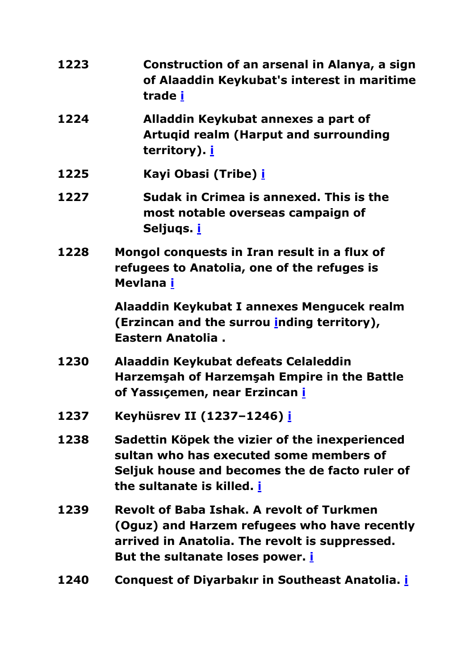<span id="page-29-10"></span><span id="page-29-9"></span><span id="page-29-8"></span><span id="page-29-7"></span><span id="page-29-6"></span><span id="page-29-5"></span><span id="page-29-4"></span><span id="page-29-3"></span><span id="page-29-2"></span><span id="page-29-1"></span><span id="page-29-0"></span>

| 1223 | Construction of an arsenal in Alanya, a sign<br>of Alaaddin Keykubat's interest in maritime<br>trade <u>i</u>                                                                                 |
|------|-----------------------------------------------------------------------------------------------------------------------------------------------------------------------------------------------|
| 1224 | Alladdin Keykubat annexes a part of<br><b>Artugid realm (Harput and surrounding</b><br>territory). <b>i</b>                                                                                   |
| 1225 | Kayi Obasi (Tribe) <u>i</u>                                                                                                                                                                   |
| 1227 | Sudak in Crimea is annexed. This is the<br>most notable overseas campaign of<br>Seljuqs. <u>i</u>                                                                                             |
| 1228 | Mongol conquests in Iran result in a flux of<br>refugees to Anatolia, one of the refuges is<br>Mevlana i                                                                                      |
|      | Alaaddin Keykubat I annexes Mengucek realm<br>(Erzincan and the surrou inding territory),<br>Eastern Anatolia.                                                                                |
| 1230 | Alaaddin Keykubat defeats Celaleddin<br>Harzemşah of Harzemşah Empire in the Battle<br>of Yassıçemen, near Erzincan i                                                                         |
| 1237 | Keyhüsrev II (1237-1246) <u>i</u>                                                                                                                                                             |
| 1238 | Sadettin Köpek the vizier of the inexperienced<br>sultan who has executed some members of<br>Seljuk house and becomes the de facto ruler of<br>the sultanate is killed. <u>i</u>              |
| 1239 | <b>Revolt of Baba Ishak. A revolt of Turkmen</b><br>(Oguz) and Harzem refugees who have recently<br>arrived in Anatolia. The revolt is suppressed.<br>But the sultanate loses power. <b>i</b> |
| 1240 | <b>Conquest of Diyarbakır in Southeast Anatolia. i</b>                                                                                                                                        |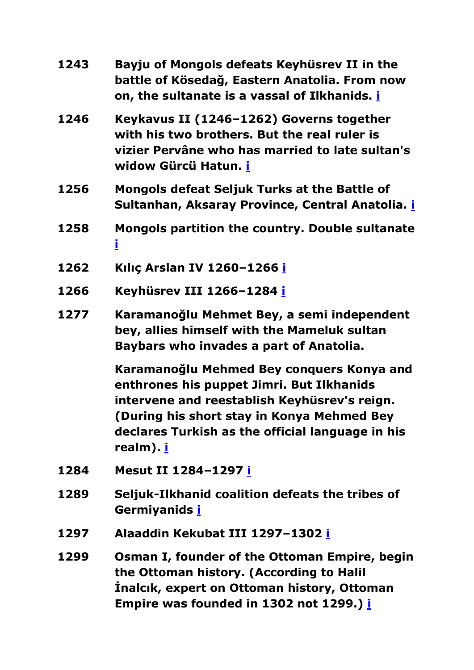<span id="page-30-11"></span><span id="page-30-10"></span><span id="page-30-9"></span><span id="page-30-8"></span><span id="page-30-7"></span><span id="page-30-6"></span><span id="page-30-5"></span><span id="page-30-4"></span><span id="page-30-3"></span><span id="page-30-2"></span><span id="page-30-1"></span><span id="page-30-0"></span>

| 1243 | Bayju of Mongols defeats Keyhüsrev II in the<br>battle of Kösedağ, Eastern Anatolia. From now<br>on, the sultanate is a vassal of Ilkhanids. i                                                                                                               |
|------|--------------------------------------------------------------------------------------------------------------------------------------------------------------------------------------------------------------------------------------------------------------|
| 1246 | Keykavus II (1246-1262) Governs together<br>with his two brothers. But the real ruler is<br>vizier Pervâne who has married to late sultan's<br>widow Gürcü Hatun. i                                                                                          |
| 1256 | <b>Mongols defeat Seljuk Turks at the Battle of</b><br>Sultanhan, Aksaray Province, Central Anatolia. i                                                                                                                                                      |
| 1258 | Mongols partition the country. Double sultanate<br>İ                                                                                                                                                                                                         |
| 1262 | Kılıç Arslan IV 1260-1266 i                                                                                                                                                                                                                                  |
| 1266 | Keyhüsrev III 1266-1284 i                                                                                                                                                                                                                                    |
| 1277 | Karamanoğlu Mehmet Bey, a semi independent<br>bey, allies himself with the Mameluk sultan<br>Baybars who invades a part of Anatolia.                                                                                                                         |
|      | Karamanoğlu Mehmed Bey conquers Konya and<br>enthrones his puppet Jimri. But Ilkhanids<br>intervene and reestablish Keyhüsrev's reign.<br>(During his short stay in Konya Mehmed Bey<br>declares Turkish as the official language in his<br>realm). <u>i</u> |
| 1284 | Mesut II 1284-1297 i                                                                                                                                                                                                                                         |
| 1289 | Seljuk-Ilkhanid coalition defeats the tribes of<br>Germiyanids i                                                                                                                                                                                             |
| 1297 | Alaaddin Kekubat III 1297-1302 i                                                                                                                                                                                                                             |
| 1299 | Osman I, founder of the Ottoman Empire, begin<br>the Ottoman history. (According to Halil<br>Inalcik, expert on Ottoman history, Ottoman<br>Empire was founded in 1302 not 1299.) i                                                                          |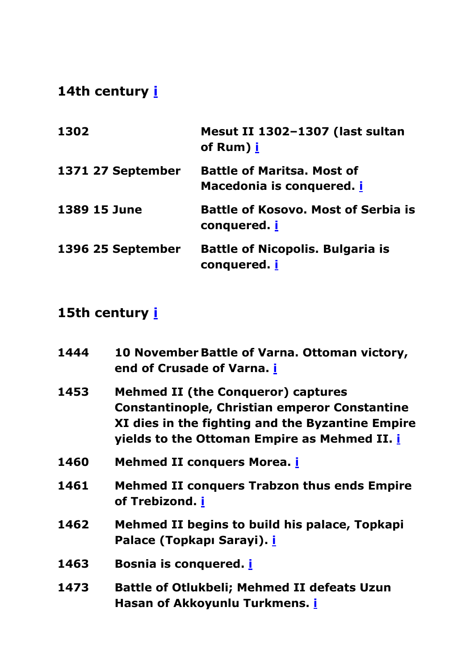<span id="page-31-3"></span><span id="page-31-2"></span><span id="page-31-1"></span><span id="page-31-0"></span>

| 1302              | Mesut II 1302-1307 (last sultan<br>of Rum) i                   |
|-------------------|----------------------------------------------------------------|
| 1371 27 September | <b>Battle of Maritsa. Most of</b><br>Macedonia is conquered. i |
| 1389 15 June      | <b>Battle of Kosovo. Most of Serbia is</b><br>conquered. i     |
| 1396 25 September | <b>Battle of Nicopolis. Bulgaria is</b><br>conquered. i        |

<span id="page-31-12"></span><span id="page-31-11"></span><span id="page-31-10"></span><span id="page-31-9"></span><span id="page-31-8"></span><span id="page-31-7"></span><span id="page-31-6"></span><span id="page-31-5"></span><span id="page-31-4"></span>

| 1444 | 10 November Battle of Varna. Ottoman victory,<br>end of Crusade of Varna. i                                                                                                                                  |
|------|--------------------------------------------------------------------------------------------------------------------------------------------------------------------------------------------------------------|
| 1453 | <b>Mehmed II (the Conqueror) captures</b><br><b>Constantinople, Christian emperor Constantine</b><br>XI dies in the fighting and the Byzantine Empire<br>yields to the Ottoman Empire as Mehmed II. <i>i</i> |
| 1460 | <b>Mehmed II conquers Morea. <i>i</i></b>                                                                                                                                                                    |
| 1461 | <b>Mehmed II conquers Trabzon thus ends Empire</b><br>of Trebizond. i                                                                                                                                        |
| 1462 | Mehmed II begins to build his palace, Topkapi<br>Palace (Topkapı Sarayi). <i>İ</i>                                                                                                                           |
| 1463 | <b>Bosnia is conquered. i</b>                                                                                                                                                                                |
| 1473 | <b>Battle of Otlukbeli; Mehmed II defeats Uzun</b><br>Hasan of Akkoyunlu Turkmens. i                                                                                                                         |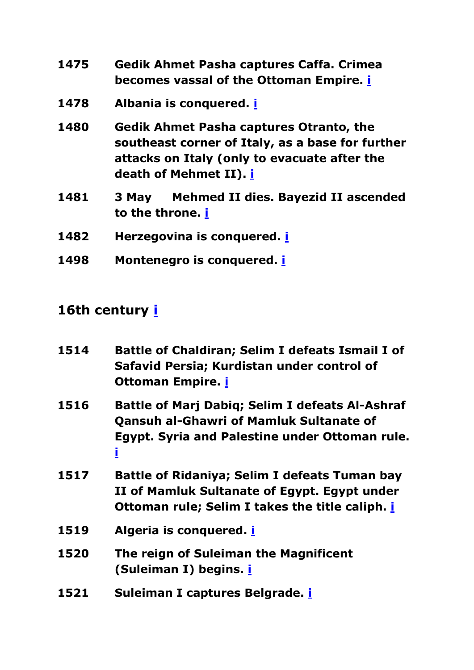- <span id="page-32-0"></span>**1475 Gedik Ahmet Pasha captures Caffa. Crimea becomes vassal of the Ottoman Empire. [i](#page-0-0)**
- <span id="page-32-1"></span>**1478 Albania is conquered. [i](#page-0-0)**
- <span id="page-32-2"></span>**1480 Gedik Ahmet Pasha captures Otranto, the southeast corner of Italy, as a base for further attacks on Italy (only to evacuate after the death of Mehmet II). [i](#page-0-0)**
- <span id="page-32-3"></span>**1481 3 May Mehmed II dies. Bayezid II ascended to the throne. [i](#page-0-0)**
- <span id="page-32-4"></span>**1482 Herzegovina is conquered. [i](#page-0-0)**
- <span id="page-32-6"></span><span id="page-32-5"></span>**1498 Montenegro is conquered. [i](#page-0-0)**

<span id="page-32-12"></span><span id="page-32-11"></span><span id="page-32-10"></span><span id="page-32-9"></span><span id="page-32-8"></span><span id="page-32-7"></span>

| 1514 | <b>Battle of Chaldiran; Selim I defeats Ismail I of</b><br>Safavid Persia; Kurdistan under control of<br><b>Ottoman Empire. i</b>                                      |
|------|------------------------------------------------------------------------------------------------------------------------------------------------------------------------|
| 1516 | <b>Battle of Marj Dabig; Selim I defeats Al-Ashraf</b><br><b>Qansuh al-Ghawri of Mamluk Sultanate of</b><br><b>Egypt. Syria and Palestine under Ottoman rule.</b><br>İ |
| 1517 | Battle of Ridaniya; Selim I defeats Tuman bay<br>II of Mamluk Sultanate of Egypt. Egypt under<br>Ottoman rule; Selim I takes the title caliph. <i>i</i>                |
| 1519 | Algeria is conquered. <i>i</i>                                                                                                                                         |
| 1520 | The reign of Suleiman the Magnificent<br>(Suleiman I) begins. <i>i</i>                                                                                                 |
| 1521 | Suleiman I captures Belgrade. <i>i</i>                                                                                                                                 |
|      |                                                                                                                                                                        |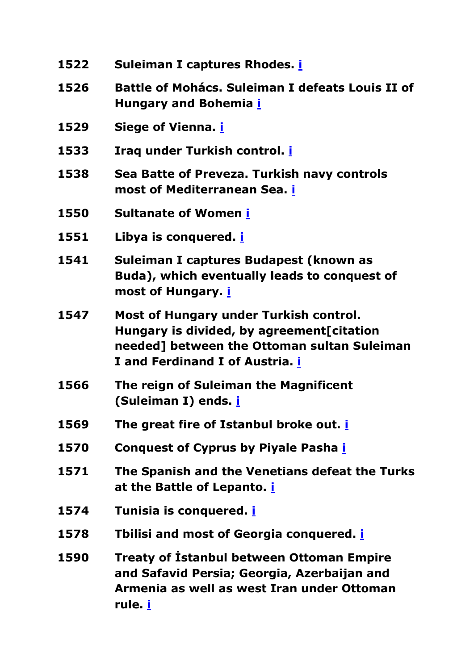<span id="page-33-15"></span><span id="page-33-14"></span><span id="page-33-13"></span><span id="page-33-12"></span><span id="page-33-11"></span><span id="page-33-10"></span><span id="page-33-9"></span><span id="page-33-8"></span><span id="page-33-7"></span><span id="page-33-6"></span><span id="page-33-5"></span><span id="page-33-4"></span><span id="page-33-3"></span><span id="page-33-2"></span><span id="page-33-1"></span><span id="page-33-0"></span>

| 1522 | Suleiman I captures Rhodes. i                                                                                                                                                |
|------|------------------------------------------------------------------------------------------------------------------------------------------------------------------------------|
| 1526 | Battle of Mohács. Suleiman I defeats Louis II of<br><b>Hungary and Bohemia <i>i</i></b>                                                                                      |
| 1529 | Siege of Vienna. <b>i</b>                                                                                                                                                    |
| 1533 | Iraq under Turkish control. i                                                                                                                                                |
| 1538 | Sea Batte of Preveza. Turkish navy controls<br>most of Mediterranean Sea. <b>i</b>                                                                                           |
| 1550 | <b>Sultanate of Women i</b>                                                                                                                                                  |
| 1551 | Libya is conquered. <i>i</i>                                                                                                                                                 |
| 1541 | Suleiman I captures Budapest (known as<br>Buda), which eventually leads to conquest of<br>most of Hungary. <i>i</i>                                                          |
| 1547 | Most of Hungary under Turkish control.<br>Hungary is divided, by agreement[citation<br>needed] between the Ottoman sultan Suleiman<br>I and Ferdinand I of Austria. <i>i</i> |
| 1566 | The reign of Suleiman the Magnificent<br>(Suleiman I) ends. i                                                                                                                |
| 1569 | The great fire of Istanbul broke out. <i>i</i>                                                                                                                               |
| 1570 | <b>Conquest of Cyprus by Piyale Pasha i</b>                                                                                                                                  |
| 1571 | The Spanish and the Venetians defeat the Turks<br>at the Battle of Lepanto. <b>i</b>                                                                                         |
| 1574 | Tunisia is conquered. <i>i</i>                                                                                                                                               |
| 1578 | Tbilisi and most of Georgia conquered. <i>i</i>                                                                                                                              |
| 1590 | <b>Treaty of Istanbul between Ottoman Empire</b><br>and Safavid Persia; Georgia, Azerbaijan and<br>Armenia as well as west Iran under Ottoman<br><u>rule.  i</u>             |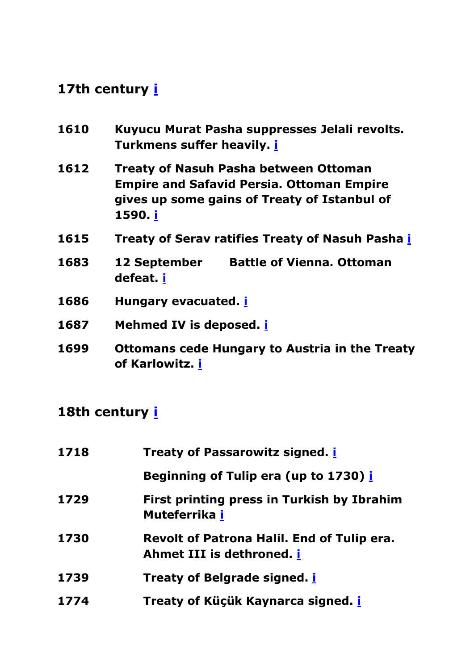<span id="page-34-4"></span><span id="page-34-3"></span><span id="page-34-2"></span><span id="page-34-1"></span><span id="page-34-0"></span>

| 1610 | Kuyucu Murat Pasha suppresses Jelali revolts.<br>Turkmens suffer heavily. <i>i</i>                                                                          |
|------|-------------------------------------------------------------------------------------------------------------------------------------------------------------|
| 1612 | <b>Treaty of Nasuh Pasha between Ottoman</b><br><b>Empire and Safavid Persia. Ottoman Empire</b><br>gives up some gains of Treaty of Istanbul of<br>1590. i |
| 1615 | <b>Treaty of Serav ratifies Treaty of Nasuh Pasha i</b>                                                                                                     |
| 1683 | <b>Battle of Vienna. Ottoman</b><br><b>12 September</b><br>defeat. i                                                                                        |
| 1686 | Hungary evacuated. <i>i</i>                                                                                                                                 |
| 1687 | Mehmed IV is deposed. <i>i</i>                                                                                                                              |
| 1699 | <b>Ottomans cede Hungary to Austria in the Treaty</b><br>of Karlowitz. i                                                                                    |

<span id="page-34-14"></span><span id="page-34-13"></span><span id="page-34-12"></span><span id="page-34-11"></span><span id="page-34-10"></span><span id="page-34-9"></span><span id="page-34-8"></span><span id="page-34-7"></span><span id="page-34-6"></span><span id="page-34-5"></span>

| 1718 | <b>Treaty of Passarowitz signed. <i>i</i></b>                           |
|------|-------------------------------------------------------------------------|
|      | Beginning of Tulip era (up to 1730) i                                   |
| 1729 | First printing press in Turkish by Ibrahim<br>Muteferrika i             |
| 1730 | Revolt of Patrona Halil. End of Tulip era.<br>Ahmet III is dethroned. i |
| 1739 | <b>Treaty of Belgrade signed. <i>i</i></b>                              |
| 1774 | Treaty of Küçük Kaynarca signed. <i>i</i>                               |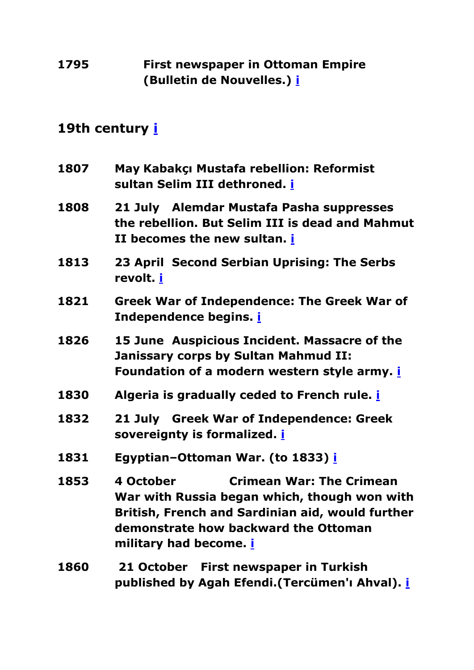#### <span id="page-35-0"></span>**1795 First newspaper in Ottoman Empire (Bulletin de Nouvelles.) [i](#page-0-0)**

- <span id="page-35-6"></span><span id="page-35-5"></span><span id="page-35-4"></span><span id="page-35-3"></span><span id="page-35-2"></span><span id="page-35-1"></span>**1807 May Kabakçı Mustafa rebellion: Reformist sultan Selim III dethroned. [i](#page-0-0) 1808 21 July Alemdar Mustafa Pasha suppresses the rebellion. But Selim III is dead and Mahmut II becomes the new sultan. [i](#page-0-0) 1813 23 April Second Serbian Uprising: The Serbs revolt. [i](#page-0-0) 1821 Greek War of Independence: The Greek War of Independence begins. [i](#page-0-0) 1826 15 June Auspicious Incident. Massacre of the Janissary corps by Sultan Mahmud II: Foundation of a modern western style army. [i](#page-0-0) 1830 Algeria is gradually ceded to French rule. [i](#page-0-0) 1832 21 July Greek War of Independence: Greek sovereignty is formalized. [i](#page-0-0) 1831 Egyptian–Ottoman War. (to 1833) [i](#page-0-0) 1853 4 October Crimean War: The Crimean War with Russia began which, though won with British, French and Sardinian aid, would further demonstrate how backward the Ottoman military had become. [i](#page-0-0)**
- <span id="page-35-11"></span><span id="page-35-10"></span><span id="page-35-9"></span><span id="page-35-8"></span><span id="page-35-7"></span>**1860 21 October First newspaper in Turkish published by Agah Efendi.(Tercümen'ı Ahval). [i](#page-0-0)**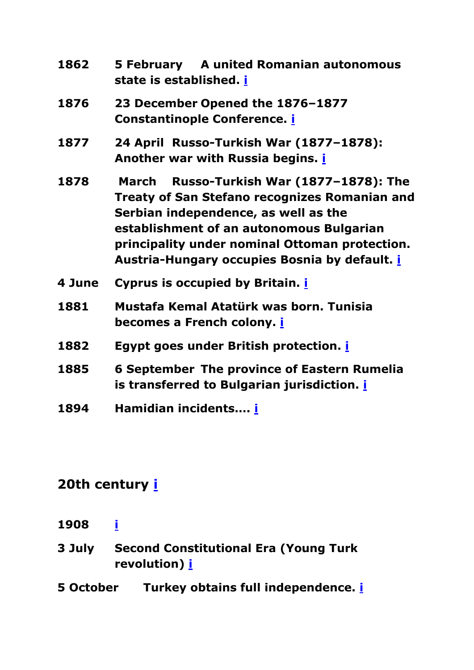<span id="page-36-4"></span><span id="page-36-3"></span><span id="page-36-2"></span><span id="page-36-1"></span><span id="page-36-0"></span>

| 1862   | 5 February A united Romanian autonomous<br>state is established. <u>i</u>                                                                                                                                                                                                                         |
|--------|---------------------------------------------------------------------------------------------------------------------------------------------------------------------------------------------------------------------------------------------------------------------------------------------------|
| 1876   | 23 December Opened the 1876-1877<br><b>Constantinople Conference. i</b>                                                                                                                                                                                                                           |
| 1877   | 24 April Russo-Turkish War (1877-1878):<br>Another war with Russia begins. <i>i</i>                                                                                                                                                                                                               |
| 1878   | Russo-Turkish War (1877-1878): The<br>March<br><b>Treaty of San Stefano recognizes Romanian and</b><br>Serbian independence, as well as the<br>establishment of an autonomous Bulgarian<br>principality under nominal Ottoman protection.<br>Austria-Hungary occupies Bosnia by default. <i>i</i> |
| 4 June | Cyprus is occupied by Britain. <i>i</i>                                                                                                                                                                                                                                                           |
| 1881   | Mustafa Kemal Atatürk was born. Tunisia<br>becomes a French colony. <u>i</u>                                                                                                                                                                                                                      |
| 1882   | <b>Egypt goes under British protection. i</b>                                                                                                                                                                                                                                                     |
| 1885   | <b>6 September The province of Eastern Rumelia</b><br>is transferred to Bulgarian jurisdiction. i                                                                                                                                                                                                 |
| 1894   | Hamidian incidents i                                                                                                                                                                                                                                                                              |

- <span id="page-36-10"></span><span id="page-36-9"></span><span id="page-36-8"></span><span id="page-36-7"></span><span id="page-36-6"></span><span id="page-36-5"></span>**1908 [i](#page-0-0)**
- <span id="page-36-11"></span>**3 July Second Constitutional Era (Young Turk revolution) [i](#page-0-0)**
- <span id="page-36-12"></span>**5 October Turkey obtains full independence. [i](#page-0-0)**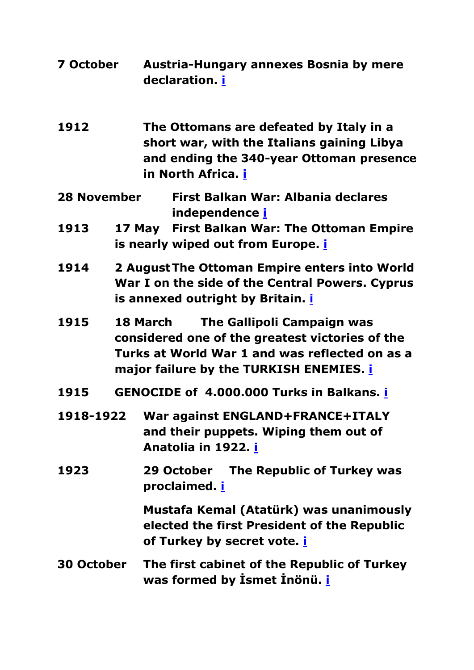- <span id="page-37-0"></span>**7 October Austria-Hungary annexes Bosnia by mere declaration. [i](#page-0-0)**
- <span id="page-37-1"></span>**1912 The Ottomans are defeated by Italy in a short war, with the Italians gaining Libya and ending the 340-year Ottoman presence in North Africa. [i](#page-0-0)**
- <span id="page-37-2"></span>**28 November First Balkan War: Albania declares independence [i](#page-0-0)**
- <span id="page-37-3"></span>**1913 17 May First Balkan War: The Ottoman Empire is nearly wiped out from Europe. [i](#page-0-0)**
- <span id="page-37-4"></span>**1914 2 AugustThe Ottoman Empire enters into World War I on the side of the Central Powers. Cyprus is annexed outright by Britain. [i](#page-0-0)**
- <span id="page-37-5"></span>**1915 18 March The Gallipoli Campaign was considered one of the greatest victories of the Turks at World War 1 and was reflected on as a major failure by the TURKISH ENEMIES. [i](#page-0-0)**
- <span id="page-37-6"></span>**1915 GENOCIDE of 4.000.000 Turks in Balkans. [i](#page-0-0)**
- <span id="page-37-7"></span>**1918-1922 War against ENGLAND+FRANCE+ITALY and their puppets. Wiping them out of Anatolia in 1922. [i](#page-0-0)**
- <span id="page-37-9"></span><span id="page-37-8"></span>**1923 29 October The Republic of Turkey was proclaimed. [i](#page-0-0)**

**Mustafa Kemal (Atatürk) was unanimously elected the first President of the Republic of Turkey by secret vote. [i](#page-0-0)**

#### <span id="page-37-10"></span>**30 October The first cabinet of the Republic of Turkey was formed by İsmet İnönü. [i](#page-0-0)**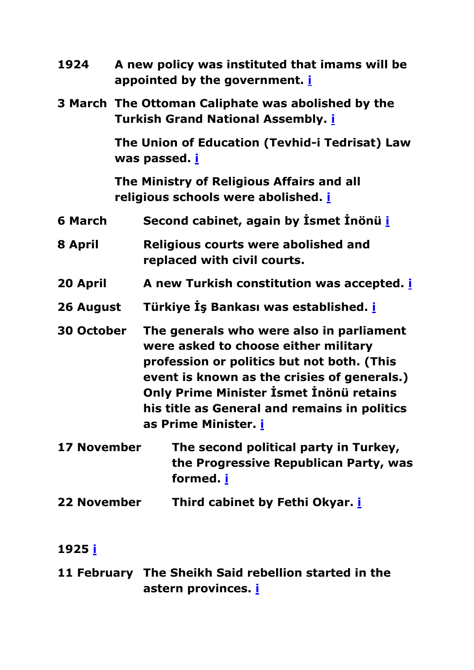<span id="page-38-6"></span><span id="page-38-5"></span><span id="page-38-4"></span><span id="page-38-3"></span><span id="page-38-2"></span><span id="page-38-1"></span><span id="page-38-0"></span>

| 1924               | A new policy was instituted that imams will be<br>appointed by the government. <i>i</i>                                                                                                                                                                                                          |
|--------------------|--------------------------------------------------------------------------------------------------------------------------------------------------------------------------------------------------------------------------------------------------------------------------------------------------|
|                    | 3 March The Ottoman Caliphate was abolished by the<br><b>Turkish Grand National Assembly. i</b>                                                                                                                                                                                                  |
|                    | The Union of Education (Tevhid-i Tedrisat) Law<br>was passed. <u>i</u>                                                                                                                                                                                                                           |
|                    | The Ministry of Religious Affairs and all<br>religious schools were abolished. i                                                                                                                                                                                                                 |
| <b>6 March</b>     | Second cabinet, again by Ismet Inönü i                                                                                                                                                                                                                                                           |
| 8 April            | <b>Religious courts were abolished and</b><br>replaced with civil courts.                                                                                                                                                                                                                        |
| 20 April           | A new Turkish constitution was accepted. <i>i</i>                                                                                                                                                                                                                                                |
| 26 August          | Türkiye İş Bankası was established. i                                                                                                                                                                                                                                                            |
| <b>30 October</b>  | The generals who were also in parliament<br>were asked to choose either military<br>profession or politics but not both. (This<br>event is known as the crisies of generals.)<br>Only Prime Minister İsmet İnönü retains<br>his title as General and remains in politics<br>as Prime Minister. i |
| <b>17 November</b> | The second political party in Turkey,<br>the Progressive Republican Party, was<br>formed. i                                                                                                                                                                                                      |
| <b>22 November</b> | Third cabinet by Fethi Okyar. <i>i</i>                                                                                                                                                                                                                                                           |
|                    |                                                                                                                                                                                                                                                                                                  |

#### <span id="page-38-11"></span><span id="page-38-10"></span><span id="page-38-9"></span><span id="page-38-8"></span><span id="page-38-7"></span>**1925 [i](#page-0-0)**

<span id="page-38-12"></span>**11 February The Sheikh Said rebellion started in the astern provinces. [i](#page-0-0)**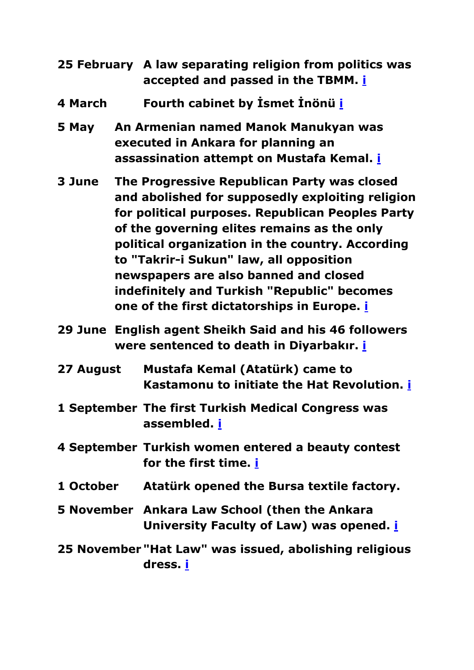<span id="page-39-0"></span>

| 25 February A law separating religion from politics was |
|---------------------------------------------------------|
| accepted and passed in the TBMM. i                      |

- <span id="page-39-1"></span>**4 March Fourth cabinet by İsmet İnönü [i](#page-0-0)**
- <span id="page-39-2"></span>**5 May An Armenian named Manok Manukyan was executed in Ankara for planning an assassination attempt on Mustafa Kemal. [i](#page-0-0)**
- <span id="page-39-3"></span>**3 June The Progressive Republican Party was closed and abolished for supposedly exploiting religion for political purposes. Republican Peoples Party of the governing elites remains as the only political organization in the country. According to "Takrir-i Sukun" law, all opposition newspapers are also banned and closed indefinitely and Turkish "Republic" becomes one of the first dictatorships in Europe. [i](#page-0-0)**
- <span id="page-39-4"></span>**29 June English agent Sheikh Said and his 46 followers were sentenced to death in Diyarbakır. [i](#page-0-0)**
- <span id="page-39-5"></span>**27 August Mustafa Kemal (Atatürk) came to Kastamonu to initiate the Hat Revolution. [i](#page-0-0)**
- <span id="page-39-6"></span>**1 September The first Turkish Medical Congress was assembled. [i](#page-0-0)**
- <span id="page-39-7"></span>**4 September Turkish women entered a beauty contest for the first time. [i](#page-0-0)**
- <span id="page-39-8"></span>**1 October Atatürk opened the Bursa textile factory.**
- <span id="page-39-9"></span>**5 November Ankara Law School (then the Ankara University Faculty of Law) was opened. [i](#page-0-0)**
- <span id="page-39-10"></span>**25 November "Hat Law" was issued, abolishing religious dress. [i](#page-0-0)**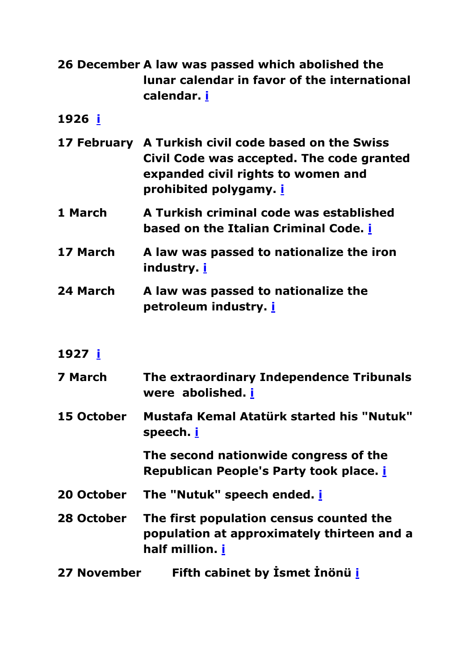<span id="page-40-0"></span>

| 26 December A law was passed which abolished the |
|--------------------------------------------------|
| lunar calendar in favor of the international     |
| calendar. i                                      |

<span id="page-40-1"></span>**1926 [i](#page-0-0)**

<span id="page-40-2"></span>

|  | 17 February A Turkish civil code based on the Swiss |
|--|-----------------------------------------------------|
|  | Civil Code was accepted. The code granted           |
|  | expanded civil rights to women and                  |
|  | prohibited polygamy. <i>i</i>                       |

- <span id="page-40-3"></span>**1 March A Turkish criminal code was established based on the Italian Criminal Code. [i](#page-0-0)**
- <span id="page-40-4"></span>**17 March A law was passed to nationalize the iron industry. [i](#page-0-0)**
- <span id="page-40-5"></span>**24 March A law was passed to nationalize the petroleum industry. [i](#page-0-0)**
- <span id="page-40-6"></span>**1927 [i](#page-0-0)**

<span id="page-40-8"></span><span id="page-40-7"></span>

| 7 March    | The extraordinary Independence Tribunals<br>were abolished. i                           |
|------------|-----------------------------------------------------------------------------------------|
| 15 October | Mustafa Kemal Atatürk started his "Nutuk"<br>speech. <u>i</u>                           |
|            | The second nationwide congress of the<br>Republican People's Party took place. <i>i</i> |
| 20 October | The "Nutuk" speech ended. <i>i</i>                                                      |

- <span id="page-40-11"></span><span id="page-40-10"></span><span id="page-40-9"></span>**28 October The first population census counted the population at approximately thirteen and a half million. [i](#page-0-0)**
- <span id="page-40-12"></span>**27 November Fifth cabinet by İsmet İnönü [i](#page-0-0)**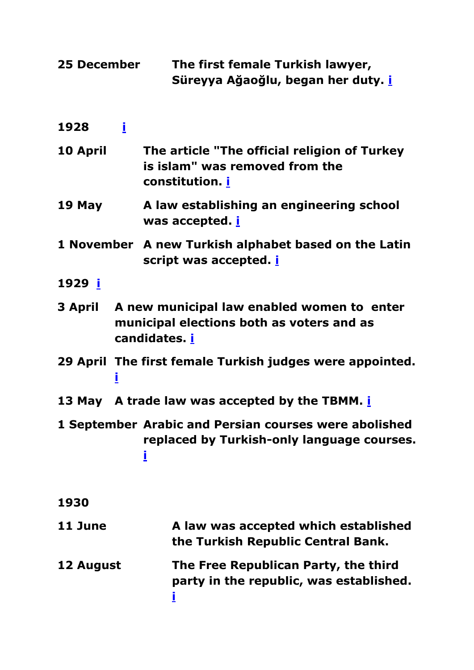<span id="page-41-12"></span><span id="page-41-11"></span><span id="page-41-10"></span><span id="page-41-9"></span><span id="page-41-8"></span><span id="page-41-7"></span><span id="page-41-6"></span><span id="page-41-5"></span><span id="page-41-4"></span><span id="page-41-3"></span><span id="page-41-2"></span><span id="page-41-1"></span><span id="page-41-0"></span>

| 25 December | The first female Turkish lawyer,<br>Süreyya Ağaoğlu, began her duty. <b>i</b>                            |
|-------------|----------------------------------------------------------------------------------------------------------|
| Î.<br>1928  |                                                                                                          |
| 10 April    | The article "The official religion of Turkey<br>is islam" was removed from the<br>constitution. <u>i</u> |
| 19 May      | A law establishing an engineering school<br>was accepted. <b>i</b>                                       |
|             | 1 November A new Turkish alphabet based on the Latin<br>script was accepted. <b>i</b>                    |
| 1929 i      |                                                                                                          |
| 3 April     | A new municipal law enabled women to enter<br>municipal elections both as voters and as<br>candidates. i |
| į           | 29 April The first female Turkish judges were appointed.                                                 |
|             | 13 May A trade law was accepted by the TBMM. <b>i</b>                                                    |
|             | 1 September Arabic and Persian courses were abolished<br>replaced by Turkish-only language courses.<br>İ |
| 1930        |                                                                                                          |
| 11 June     | A law was accepted which established<br>the Turkish Republic Central Bank.                               |
| 12 August   | The Free Republican Party, the third<br>party in the republic, was established.<br>İ                     |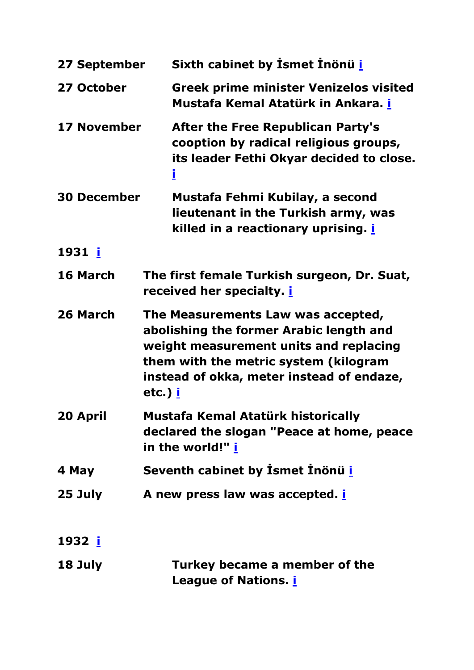<span id="page-42-11"></span><span id="page-42-10"></span><span id="page-42-9"></span><span id="page-42-8"></span><span id="page-42-7"></span><span id="page-42-6"></span><span id="page-42-5"></span><span id="page-42-4"></span><span id="page-42-3"></span><span id="page-42-2"></span><span id="page-42-1"></span><span id="page-42-0"></span>

| 27 September       | Sixth cabinet by Ismet Inönü i                                                                                                                                                                                                  |  |  |
|--------------------|---------------------------------------------------------------------------------------------------------------------------------------------------------------------------------------------------------------------------------|--|--|
| 27 October         | <b>Greek prime minister Venizelos visited</b><br>Mustafa Kemal Atatürk in Ankara. i                                                                                                                                             |  |  |
| <b>17 November</b> | <b>After the Free Republican Party's</b><br>cooption by radical religious groups,<br>its leader Fethi Okyar decided to close.<br>Ī                                                                                              |  |  |
| <b>30 December</b> | Mustafa Fehmi Kubilay, a second<br>lieutenant in the Turkish army, was<br>killed in a reactionary uprising. <u>i</u>                                                                                                            |  |  |
| 1931 i             |                                                                                                                                                                                                                                 |  |  |
| 16 March           | The first female Turkish surgeon, Dr. Suat,<br>received her specialty. <i>i</i>                                                                                                                                                 |  |  |
| 26 March           | The Measurements Law was accepted,<br>abolishing the former Arabic length and<br>weight measurement units and replacing<br>them with the metric system (kilogram<br>instead of okka, meter instead of endaze,<br>etc.) <u>i</u> |  |  |
| 20 April           | Mustafa Kemal Atatürk historically<br>declared the slogan "Peace at home, peace<br>in the world!" <u>i</u>                                                                                                                      |  |  |
| 4 May              | Seventh cabinet by Ismet Inönü i                                                                                                                                                                                                |  |  |
| 25 July            | A new press law was accepted. <i>i</i>                                                                                                                                                                                          |  |  |
| 1932 <u>i</u>      |                                                                                                                                                                                                                                 |  |  |
| 18 July            | Turkey became a member of the<br>League of Nations. <u>i</u>                                                                                                                                                                    |  |  |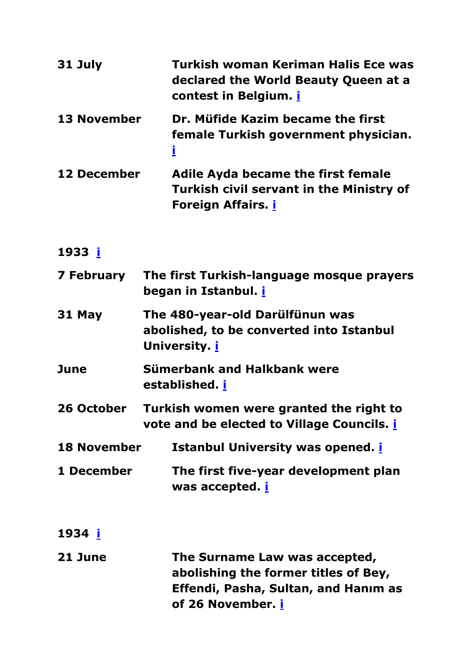<span id="page-43-2"></span><span id="page-43-1"></span><span id="page-43-0"></span>

| 31 July            | Turkish woman Keriman Halis Ece was<br>declared the World Beauty Queen at a<br>contest in Belgium. <i>i</i>               |
|--------------------|---------------------------------------------------------------------------------------------------------------------------|
| <b>13 November</b> | Dr. Müfide Kazim became the first<br>female Turkish government physician.<br>l                                            |
| <b>12 December</b> | <b>Adile Ayda became the first female</b><br><b>Turkish civil servant in the Ministry of</b><br><b>Foreign Affairs. i</b> |
| 1933 i             |                                                                                                                           |
| 7 February         | The first Turkish-language mosque prayers                                                                                 |

<span id="page-43-5"></span><span id="page-43-4"></span><span id="page-43-3"></span>

| 31 May | The 480-year-old Darülfünun was          |
|--------|------------------------------------------|
|        | abolished, to be converted into Istanbul |
|        | University. <i>i</i>                     |

<span id="page-43-6"></span>**June Sümerbank and Halkbank were established. [i](#page-0-0)**

**began in Istanbul. [i](#page-0-0)**

- <span id="page-43-7"></span>**26 October Turkish women were granted the right to vote and be elected to Village Councils. [i](#page-0-0)**
- <span id="page-43-8"></span>**18 November Istanbul University was opened. [i](#page-0-0)**
- <span id="page-43-9"></span>**1 December The first five-year development plan was accepted. [i](#page-0-0)**
- <span id="page-43-10"></span>**1934 [i](#page-0-0)**
- <span id="page-43-11"></span>**21 June The Surname Law was accepted, abolishing the former titles of Bey, Effendi, Pasha, Sultan, and Hanım as of 26 November. [i](#page-0-0)**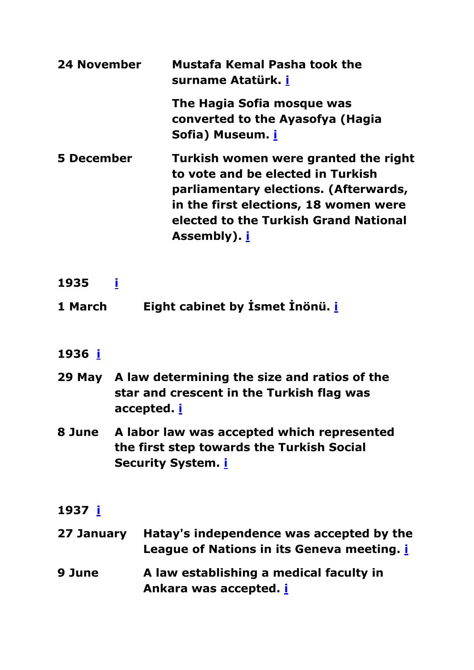<span id="page-44-2"></span><span id="page-44-1"></span><span id="page-44-0"></span>

| <b>24 November</b> | <b>Mustafa Kemal Pasha took the</b><br>surname Atatürk. <i>i</i>                                                                                                                                                            |
|--------------------|-----------------------------------------------------------------------------------------------------------------------------------------------------------------------------------------------------------------------------|
|                    | The Hagia Sofia mosque was<br>converted to the Ayasofya (Hagia<br>Sofia) Museum. i                                                                                                                                          |
| 5 December         | Turkish women were granted the right<br>to vote and be elected in Turkish<br>parliamentary elections. (Afterwards,<br>in the first elections, 18 women were<br>elected to the Turkish Grand National<br>Assembly). <u>i</u> |

- <span id="page-44-3"></span>**1935 [i](#page-0-0)**
- <span id="page-44-4"></span>**1 March Eight cabinet by İsmet İnönü. [i](#page-0-0)**

#### <span id="page-44-5"></span>**1936 [i](#page-0-0)**

- <span id="page-44-6"></span>**29 May A law determining the size and ratios of the star and crescent in the Turkish flag was accepted. [i](#page-0-0)**
- <span id="page-44-7"></span>**8 June A labor law was accepted which represented the first step towards the Turkish Social Security System. [i](#page-0-0)**

#### <span id="page-44-8"></span>**1937 [i](#page-0-0)**

<span id="page-44-9"></span>

| 27 January Hatay's independence was accepted by the |  |  |  |
|-----------------------------------------------------|--|--|--|
| League of Nations in its Geneva meeting. i          |  |  |  |
|                                                     |  |  |  |

<span id="page-44-10"></span>**9 June A law establishing a medical faculty in Ankara was accepted. [i](#page-0-0)**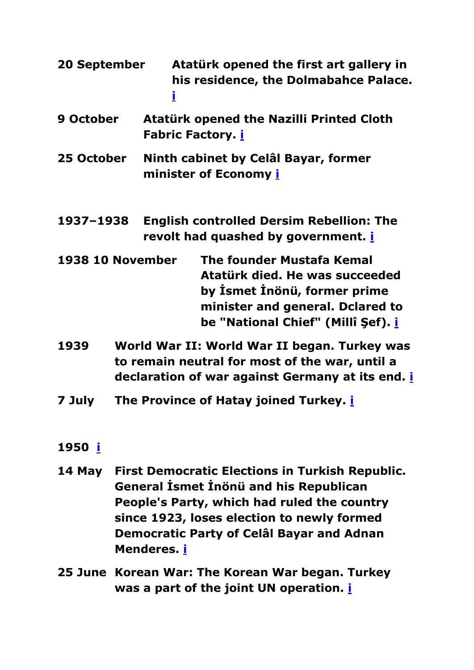- <span id="page-45-0"></span>**20 September Atatürk opened the first art gallery in his residence, the Dolmabahce Palace. [i](#page-0-0)**
- <span id="page-45-1"></span>**9 October Atatürk opened the Nazilli Printed Cloth Fabric Factory. [i](#page-0-0)**
- <span id="page-45-2"></span>**25 October Ninth cabinet by Celâl Bayar, former minister of Economy [i](#page-0-0)**
- <span id="page-45-3"></span>**1937–1938 English controlled Dersim Rebellion: The revolt had quashed by government. [i](#page-0-0)**
- <span id="page-45-4"></span>**1938 10 November The founder Mustafa Kemal Atatürk died. He was succeeded by İsmet İnönü, former prime minister and general. Dclared to be "National Chief" (Millî Şef). [i](#page-0-0)**
- <span id="page-45-5"></span>**1939 World War II: World War II began. Turkey was to remain neutral for most of the war, until a declaration of war against Germany at its end. [i](#page-0-0)**
- <span id="page-45-6"></span>**7 July The Province of Hatay joined Turkey. [i](#page-0-0)**

#### <span id="page-45-7"></span>**1950 [i](#page-0-0)**

- <span id="page-45-8"></span>**14 May First Democratic Elections in Turkish Republic. General İsmet İnönü and his Republican People's Party, which had ruled the country since 1923, loses election to newly formed Democratic Party of Celâl Bayar and Adnan Menderes. [i](#page-0-0)**
- <span id="page-45-9"></span>**25 June Korean War: The Korean War began. Turkey was a part of the joint UN operation. [i](#page-0-0)**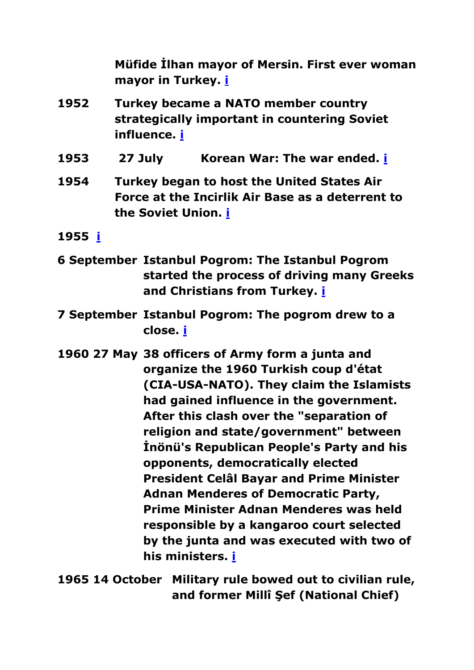**Müfide İlhan mayor of Mersin. First ever woman mayor in Turkey. [i](#page-0-0)**

- <span id="page-46-1"></span><span id="page-46-0"></span>**1952 Turkey became a NATO member country strategically important in countering Soviet influence. [i](#page-0-0)**
- <span id="page-46-2"></span>**1953 27 July Korean War: The war ended. [i](#page-0-0)**
- <span id="page-46-3"></span>**1954 Turkey began to host the United States Air Force at the Incirlik Air Base as a deterrent to the Soviet Union. [i](#page-0-0)**
- <span id="page-46-4"></span>**1955 [i](#page-0-0)**
- <span id="page-46-5"></span>**6 September Istanbul Pogrom: The Istanbul Pogrom started the process of driving many Greeks and Christians from Turkey. [i](#page-0-0)**
- <span id="page-46-6"></span>**7 September Istanbul Pogrom: The pogrom drew to a close. [i](#page-0-0)**
- <span id="page-46-7"></span>**1960 27 May 38 officers of Army form a junta and organize the 1960 Turkish coup d'état (CIA-USA-NATO). They claim the Islamists had gained influence in the government. After this clash over the "separation of religion and state/government" between İnönü's Republican People's Party and his opponents, democratically elected President Celâl Bayar and Prime Minister Adnan Menderes of Democratic Party, Prime Minister Adnan Menderes was held responsible by a kangaroo court selected by the junta and was executed with two of his ministers. [i](#page-0-0)**
- <span id="page-46-8"></span>**1965 14 October Military rule bowed out to civilian rule, and former Millî Şef (National Chief)**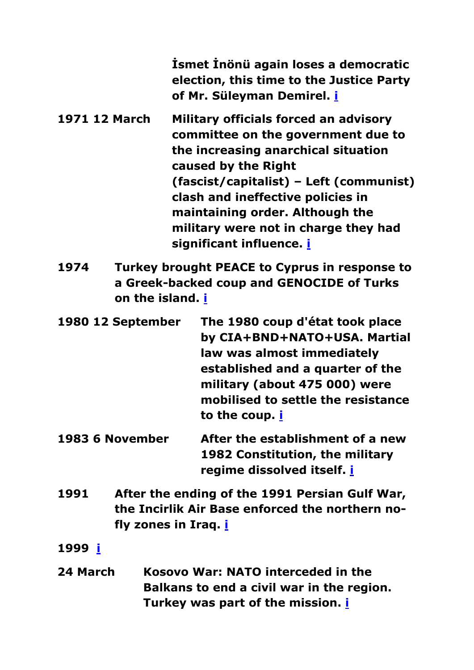**İsmet İnönü again loses a democratic election, this time to the Justice Party of Mr. Süleyman Demirel. [i](#page-0-0)**

- <span id="page-47-0"></span>**1971 12 March Military officials forced an advisory committee on the government due to the increasing anarchical situation caused by the Right (fascist/capitalist) – Left (communist) clash and ineffective policies in maintaining order. Although the military were not in charge they had significant influence. [i](#page-0-0)**
- <span id="page-47-1"></span>**1974 Turkey brought PEACE to Cyprus in response to a Greek-backed coup and GENOCIDE of Turks on the island. [i](#page-0-0)**
- <span id="page-47-2"></span>**1980 12 September The 1980 coup d'état took place by CIA+BND+NATO+USA. Martial law was almost immediately established and a quarter of the military (about 475 000) were mobilised to settle the resistance to the coup. [i](#page-0-0)**
- <span id="page-47-3"></span>**1983 6 November After the establishment of a new 1982 Constitution, the military regime dissolved itself. [i](#page-0-0)**
- <span id="page-47-4"></span>**1991 After the ending of the 1991 Persian Gulf War, the Incirlik Air Base enforced the northern nofly zones in Iraq. [i](#page-0-0)**

<span id="page-47-5"></span>**1999 [i](#page-0-0)**

<span id="page-47-6"></span>**24 March Kosovo War: NATO interceded in the Balkans to end a civil war in the region. Turkey was part of the mission. [i](#page-0-0)**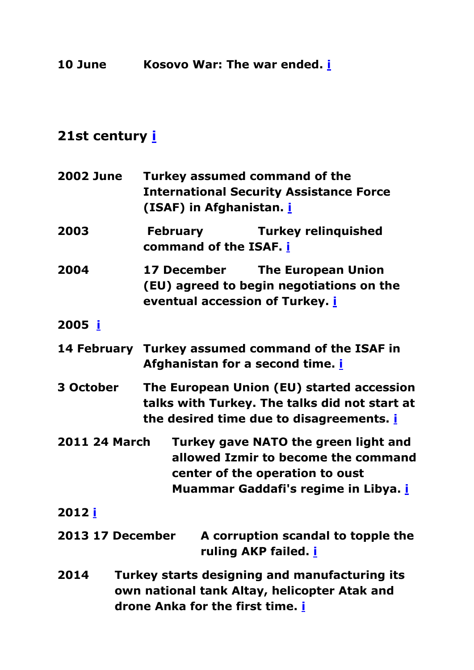<span id="page-48-0"></span>**10 June Kosovo War: The war ended. [i](#page-0-0)**

<span id="page-48-11"></span><span id="page-48-10"></span><span id="page-48-9"></span><span id="page-48-8"></span><span id="page-48-7"></span><span id="page-48-6"></span><span id="page-48-5"></span><span id="page-48-4"></span><span id="page-48-3"></span><span id="page-48-2"></span><span id="page-48-1"></span>

| <b>2002 June</b>        | <b>Turkey assumed command of the</b><br><b>International Security Assistance Force</b><br>(ISAF) in Afghanistan. <i>i</i>                              |  |  |
|-------------------------|--------------------------------------------------------------------------------------------------------------------------------------------------------|--|--|
| 2003                    | <b>Turkey relinquished</b><br><b>February</b><br>command of the ISAF. i                                                                                |  |  |
| 2004                    | <b>17 December</b><br><b>The European Union</b><br>(EU) agreed to begin negotiations on the<br>eventual accession of Turkey. i                         |  |  |
| 2005 i                  |                                                                                                                                                        |  |  |
|                         | 14 February Turkey assumed command of the ISAF in<br>Afghanistan for a second time. i                                                                  |  |  |
| 3 October               | The European Union (EU) started accession<br>talks with Turkey. The talks did not start at<br>the desired time due to disagreements. <i>i</i>          |  |  |
| <b>2011 24 March</b>    | Turkey gave NATO the green light and<br>allowed Izmir to become the command<br>center of the operation to oust<br>Muammar Gaddafi's regime in Libya. i |  |  |
| 2012 <u>i</u>           |                                                                                                                                                        |  |  |
| <b>2013 17 December</b> | A corruption scandal to topple the<br>ruling AKP failed. <b>i</b>                                                                                      |  |  |
| 2014                    | Turkey starts designing and manufacturing its<br>own national tank Altay, helicopter Atak and<br>drone Anka for the first time. i                      |  |  |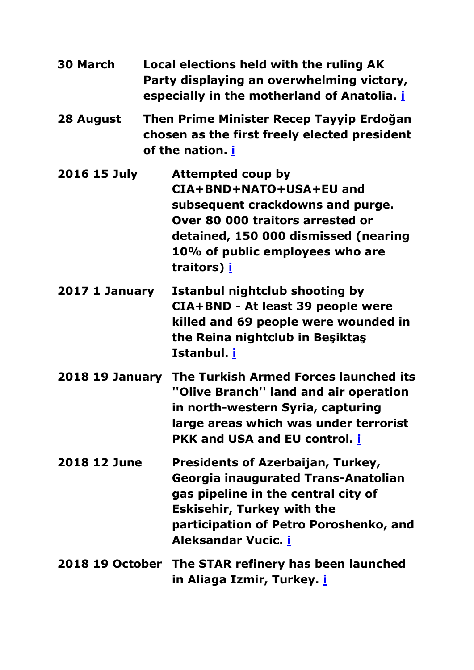<span id="page-49-6"></span><span id="page-49-5"></span><span id="page-49-4"></span><span id="page-49-3"></span><span id="page-49-2"></span><span id="page-49-1"></span><span id="page-49-0"></span>

| <b>30 March</b>        | Local elections held with the ruling AK<br>Party displaying an overwhelming victory,<br>especially in the motherland of Anatolia. <i>i</i> |                                                                                                                                                                                                                                            |
|------------------------|--------------------------------------------------------------------------------------------------------------------------------------------|--------------------------------------------------------------------------------------------------------------------------------------------------------------------------------------------------------------------------------------------|
| 28 August              | Then Prime Minister Recep Tayyip Erdoğan<br>chosen as the first freely elected president<br>of the nation. <b>i</b>                        |                                                                                                                                                                                                                                            |
| 2016 15 July           |                                                                                                                                            | Attempted coup by<br>CIA+BND+NATO+USA+EU and<br>subsequent crackdowns and purge.<br>Over 80 000 traitors arrested or<br>detained, 150 000 dismissed (nearing<br>10% of public employees who are<br>traitors) i                             |
| 2017 1 January         |                                                                                                                                            | <b>Istanbul nightclub shooting by</b><br>CIA+BND - At least 39 people were<br>killed and 69 people were wounded in<br>the Reina nightclub in Beşiktaş<br>Istanbul. <u>i</u>                                                                |
| <b>2018 19 January</b> |                                                                                                                                            | The Turkish Armed Forces launched its<br>"Olive Branch" land and air operation<br>in north-western Syria, capturing<br>large areas which was under terrorist<br><b>PKK and USA and EU control. i</b>                                       |
| 2018 12 June           |                                                                                                                                            | <b>Presidents of Azerbaijan, Turkey,</b><br><b>Georgia inaugurated Trans-Anatolian</b><br>gas pipeline in the central city of<br><b>Eskisehir, Turkey with the</b><br>participation of Petro Poroshenko, and<br>Aleksandar Vucic. <i>i</i> |
|                        |                                                                                                                                            | 2018 19 October The STAR refinery has been launched<br>in Aliaga Izmir, Turkey. <u>i</u>                                                                                                                                                   |